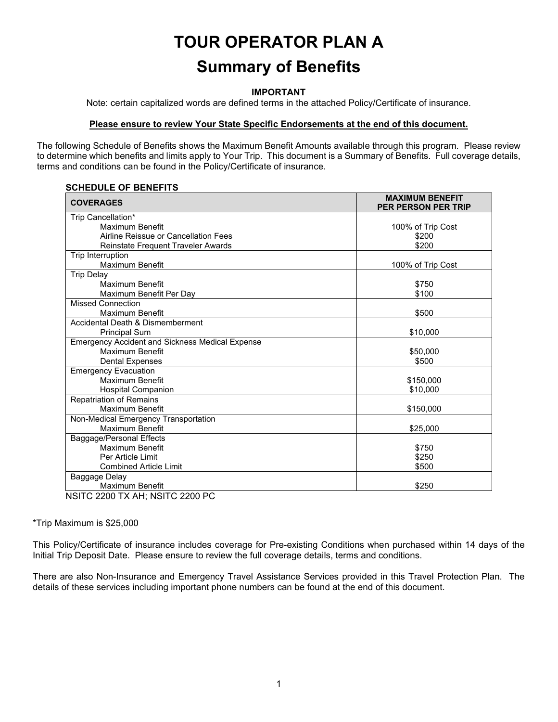# **TOUR OPERATOR PLAN A Summary of Benefits**

#### **IMPORTANT**

Note: certain capitalized words are defined terms in the attached Policy/Certificate of insurance.

#### **Please ensure to review Your State Specific Endorsements at the end of this document.**

The following Schedule of Benefits shows the Maximum Benefit Amounts available through this program. Please review to determine which benefits and limits apply to Your Trip. This document is a Summary of Benefits. Full coverage details, terms and conditions can be found in the Policy/Certificate of insurance.

#### **SCHEDULE OF BENEFITS**

| <b>COVERAGES</b>                                       | <b>MAXIMUM BENEFIT</b><br><b>PER PERSON PER TRIP</b> |
|--------------------------------------------------------|------------------------------------------------------|
| Trip Cancellation*                                     |                                                      |
| Maximum Benefit                                        | 100% of Trip Cost                                    |
| Airline Reissue or Cancellation Fees                   | \$200                                                |
| Reinstate Frequent Traveler Awards                     | \$200                                                |
| Trip Interruption                                      |                                                      |
| Maximum Benefit                                        | 100% of Trip Cost                                    |
| <b>Trip Delay</b>                                      |                                                      |
| Maximum Benefit                                        | \$750                                                |
| Maximum Benefit Per Day                                | \$100                                                |
| <b>Missed Connection</b>                               |                                                      |
| <b>Maximum Benefit</b>                                 | \$500                                                |
| Accidental Death & Dismemberment                       |                                                      |
| <b>Principal Sum</b>                                   | \$10,000                                             |
| <b>Emergency Accident and Sickness Medical Expense</b> |                                                      |
| Maximum Benefit                                        | \$50,000                                             |
| <b>Dental Expenses</b>                                 | \$500                                                |
| <b>Emergency Evacuation</b>                            |                                                      |
| Maximum Benefit                                        | \$150,000                                            |
| <b>Hospital Companion</b>                              | \$10,000                                             |
| <b>Repatriation of Remains</b>                         |                                                      |
| Maximum Benefit                                        | \$150,000                                            |
| Non-Medical Emergency Transportation                   |                                                      |
| Maximum Benefit                                        | \$25,000                                             |
| Baggage/Personal Effects                               |                                                      |
| Maximum Benefit                                        | \$750                                                |
| Per Article Limit                                      | \$250                                                |
| <b>Combined Article Limit</b>                          | \$500                                                |
| Baggage Delay                                          |                                                      |
| <b>Maximum Benefit</b><br>                             | \$250                                                |

NSITC 2200 TX AH; NSITC 2200 PC

\*Trip Maximum is \$25,000

This Policy/Certificate of insurance includes coverage for Pre-existing Conditions when purchased within 14 days of the Initial Trip Deposit Date. Please ensure to review the full coverage details, terms and conditions.

There are also Non-Insurance and Emergency Travel Assistance Services provided in this Travel Protection Plan. The details of these services including important phone numbers can be found at the end of this document.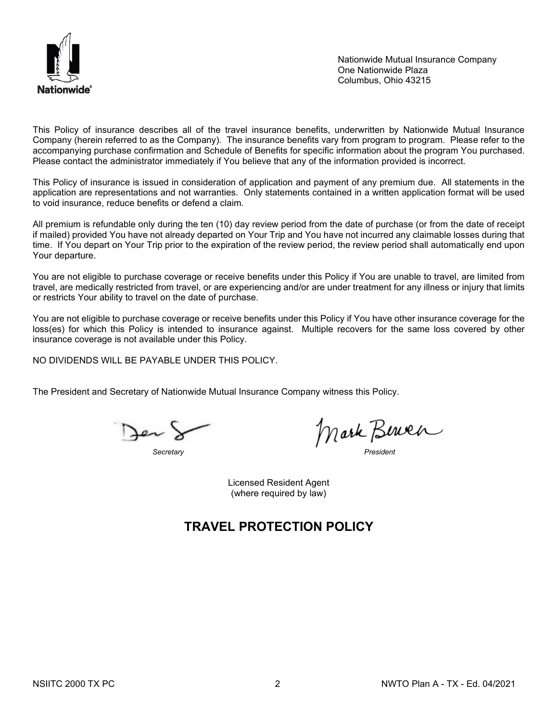

Nationwide Mutual Insurance Company One Nationwide Plaza Columbus, Ohio 43215

This Policy of insurance describes all of the travel insurance benefits, underwritten by Nationwide Mutual Insurance Company (herein referred to as the Company). The insurance benefits vary from program to program. Please refer to the accompanying purchase confirmation and Schedule of Benefits for specific information about the program You purchased. Please contact the administrator immediately if You believe that any of the information provided is incorrect.

This Policy of insurance is issued in consideration of application and payment of any premium due. All statements in the application are representations and not warranties. Only statements contained in a written application format will be used to void insurance, reduce benefits or defend a claim.

All premium is refundable only during the ten (10) day review period from the date of purchase (or from the date of receipt if mailed) provided You have not already departed on Your Trip and You have not incurred any claimable losses during that time. If You depart on Your Trip prior to the expiration of the review period, the review period shall automatically end upon Your departure.

You are not eligible to purchase coverage or receive benefits under this Policy if You are unable to travel, are limited from travel, are medically restricted from travel, or are experiencing and/or are under treatment for any illness or injury that limits or restricts Your ability to travel on the date of purchase.

You are not eligible to purchase coverage or receive benefits under this Policy if You have other insurance coverage for the loss(es) for which this Policy is intended to insurance against. Multiple recovers for the same loss covered by other insurance coverage is not available under this Policy.

NO DIVIDENDS WILL BE PAYABLE UNDER THIS POLICY.

The President and Secretary of Nationwide Mutual Insurance Company witness this Policy.

Jer 8

*Secretary President*

Licensed Resident Agent (where required by law)

# **TRAVEL PROTECTION POLICY**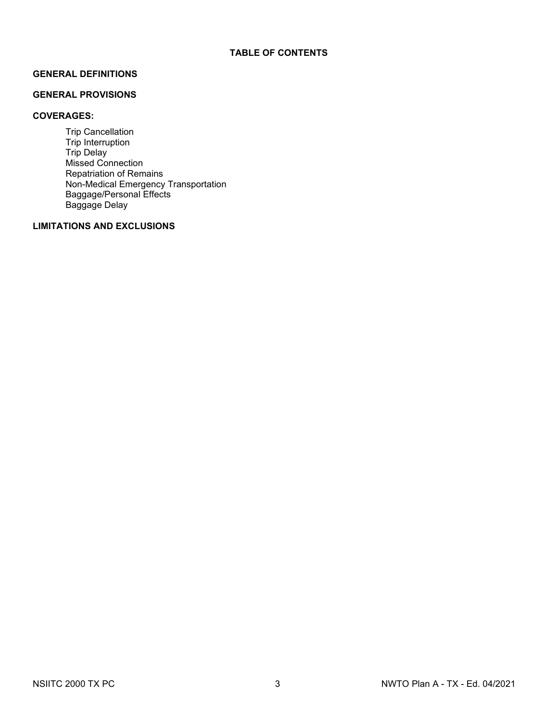#### **GENERAL DEFINITIONS**

#### **GENERAL PROVISIONS**

#### **COVERAGES:**

Trip Cancellation Trip Interruption Trip Delay Missed Connection Repatriation of Remains Non-Medical Emergency Transportation Baggage/Personal Effects Baggage Delay

### **LIMITATIONS AND EXCLUSIONS**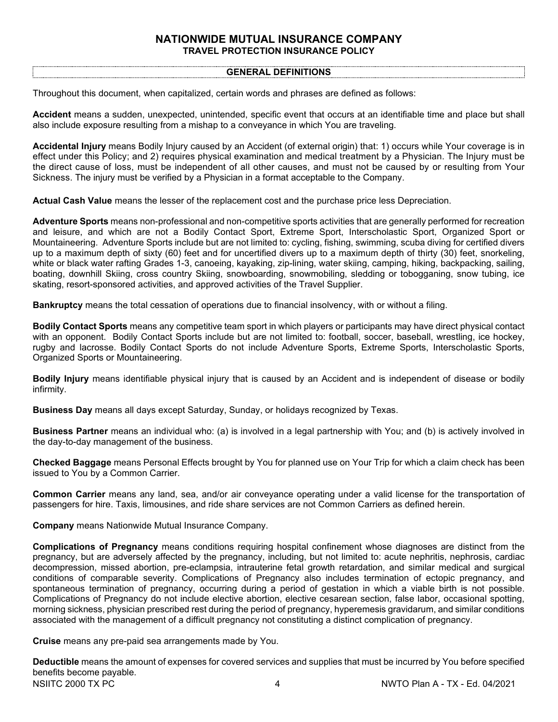### **NATIONWIDE MUTUAL INSURANCE COMPANY TRAVEL PROTECTION INSURANCE POLICY**

#### **GENERAL DEFINITIONS**

Throughout this document, when capitalized, certain words and phrases are defined as follows:

**Accident** means a sudden, unexpected, unintended, specific event that occurs at an identifiable time and place but shall also include exposure resulting from a mishap to a conveyance in which You are traveling.

**Accidental Injury** means Bodily Injury caused by an Accident (of external origin) that: 1) occurs while Your coverage is in effect under this Policy; and 2) requires physical examination and medical treatment by a Physician. The Injury must be the direct cause of loss, must be independent of all other causes, and must not be caused by or resulting from Your Sickness. The injury must be verified by a Physician in a format acceptable to the Company.

**Actual Cash Value** means the lesser of the replacement cost and the purchase price less Depreciation.

**Adventure Sports** means non-professional and non-competitive sports activities that are generally performed for recreation and leisure, and which are not a Bodily Contact Sport, Extreme Sport, Interscholastic Sport, Organized Sport or Mountaineering. Adventure Sports include but are not limited to: cycling, fishing, swimming, scuba diving for certified divers up to a maximum depth of sixty (60) feet and for uncertified divers up to a maximum depth of thirty (30) feet, snorkeling, white or black water rafting Grades 1-3, canoeing, kayaking, zip-lining, water skiing, camping, hiking, backpacking, sailing, boating, downhill Skiing, cross country Skiing, snowboarding, snowmobiling, sledding or tobogganing, snow tubing, ice skating, resort-sponsored activities, and approved activities of the Travel Supplier.

**Bankruptcy** means the total cessation of operations due to financial insolvency, with or without a filing.

**Bodily Contact Sports** means any competitive team sport in which players or participants may have direct physical contact with an opponent. Bodily Contact Sports include but are not limited to: football, soccer, baseball, wrestling, ice hockey, rugby and lacrosse. Bodily Contact Sports do not include Adventure Sports, Extreme Sports, Interscholastic Sports, Organized Sports or Mountaineering.

**Bodily Injury** means identifiable physical injury that is caused by an Accident and is independent of disease or bodily infirmity.

**Business Day** means all days except Saturday, Sunday, or holidays recognized by Texas.

**Business Partner** means an individual who: (a) is involved in a legal partnership with You; and (b) is actively involved in the day-to-day management of the business.

**Checked Baggage** means Personal Effects brought by You for planned use on Your Trip for which a claim check has been issued to You by a Common Carrier.

**Common Carrier** means any land, sea, and/or air conveyance operating under a valid license for the transportation of passengers for hire. Taxis, limousines, and ride share services are not Common Carriers as defined herein.

**Company** means Nationwide Mutual Insurance Company.

**Complications of Pregnancy** means conditions requiring hospital confinement whose diagnoses are distinct from the pregnancy, but are adversely affected by the pregnancy, including, but not limited to: acute nephritis, nephrosis, cardiac decompression, missed abortion, pre-eclampsia, intrauterine fetal growth retardation, and similar medical and surgical conditions of comparable severity. Complications of Pregnancy also includes termination of ectopic pregnancy, and spontaneous termination of pregnancy, occurring during a period of gestation in which a viable birth is not possible. Complications of Pregnancy do not include elective abortion, elective cesarean section, false labor, occasional spotting, morning sickness, physician prescribed rest during the period of pregnancy, hyperemesis gravidarum, and similar conditions associated with the management of a difficult pregnancy not constituting a distinct complication of pregnancy.

**Cruise** means any pre-paid sea arrangements made by You.

NSIITC 2000 TX PC 4 NWTO Plan A - TX - Ed. 04/2021 **Deductible** means the amount of expenses for covered services and supplies that must be incurred by You before specified benefits become payable.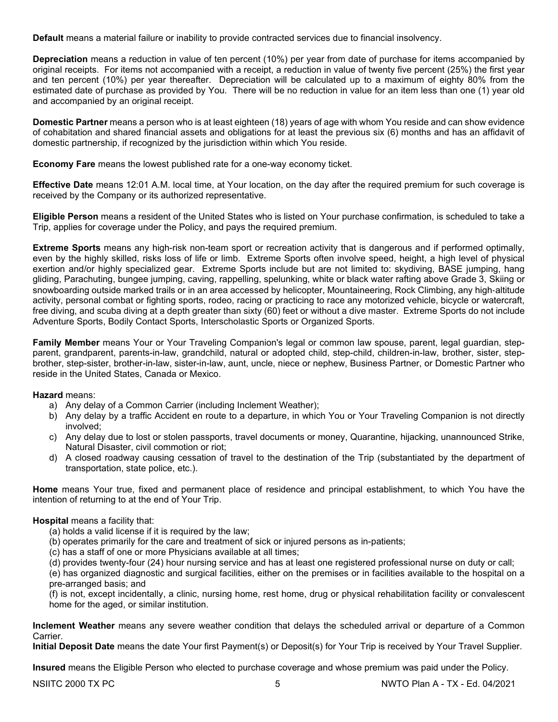**Default** means a material failure or inability to provide contracted services due to financial insolvency.

**Depreciation** means a reduction in value of ten percent (10%) per year from date of purchase for items accompanied by original receipts. For items not accompanied with a receipt, a reduction in value of twenty five percent (25%) the first year and ten percent (10%) per year thereafter. Depreciation will be calculated up to a maximum of eighty 80% from the estimated date of purchase as provided by You. There will be no reduction in value for an item less than one (1) year old and accompanied by an original receipt.

**Domestic Partner** means a person who is at least eighteen (18) years of age with whom You reside and can show evidence of cohabitation and shared financial assets and obligations for at least the previous six (6) months and has an affidavit of domestic partnership, if recognized by the jurisdiction within which You reside.

**Economy Fare** means the lowest published rate for a one-way economy ticket.

**Effective Date** means 12:01 A.M. local time, at Your location, on the day after the required premium for such coverage is received by the Company or its authorized representative.

**Eligible Person** means a resident of the United States who is listed on Your purchase confirmation, is scheduled to take a Trip, applies for coverage under the Policy, and pays the required premium.

**Extreme Sports** means any high-risk non-team sport or recreation activity that is dangerous and if performed optimally, even by the highly skilled, risks loss of life or limb. Extreme Sports often involve speed, height, a high level of physical exertion and/or highly specialized gear. Extreme Sports include but are not limited to: skydiving, BASE jumping, hang gliding, Parachuting, bungee jumping, caving, rappelling, spelunking, white or black water rafting above Grade 3, Skiing or snowboarding outside marked trails or in an area accessed by helicopter, Mountaineering, Rock Climbing, any high‐altitude activity, personal combat or fighting sports, rodeo, racing or practicing to race any motorized vehicle, bicycle or watercraft, free diving, and scuba diving at a depth greater than sixty (60) feet or without a dive master. Extreme Sports do not include Adventure Sports, Bodily Contact Sports, Interscholastic Sports or Organized Sports.

**Family Member** means Your or Your Traveling Companion's legal or common law spouse, parent, legal guardian, stepparent, grandparent, parents-in-law, grandchild, natural or adopted child, step-child, children-in-law, brother, sister, stepbrother, step-sister, brother-in-law, sister-in-law, aunt, uncle, niece or nephew, Business Partner, or Domestic Partner who reside in the United States, Canada or Mexico.

#### **Hazard** means:

- a) Any delay of a Common Carrier (including Inclement Weather);
- b) Any delay by a traffic Accident en route to a departure, in which You or Your Traveling Companion is not directly involved;
- c) Any delay due to lost or stolen passports, travel documents or money, Quarantine, hijacking, unannounced Strike, Natural Disaster, civil commotion or riot;
- d) A closed roadway causing cessation of travel to the destination of the Trip (substantiated by the department of transportation, state police, etc.).

**Home** means Your true, fixed and permanent place of residence and principal establishment, to which You have the intention of returning to at the end of Your Trip.

#### **Hospital** means a facility that:

- (a) holds a valid license if it is required by the law;
- (b) operates primarily for the care and treatment of sick or injured persons as in-patients;
- (c) has a staff of one or more Physicians available at all times;
- (d) provides twenty-four (24) hour nursing service and has at least one registered professional nurse on duty or call;

(e) has organized diagnostic and surgical facilities, either on the premises or in facilities available to the hospital on a pre-arranged basis; and

(f) is not, except incidentally, a clinic, nursing home, rest home, drug or physical rehabilitation facility or convalescent home for the aged, or similar institution.

**Inclement Weather** means any severe weather condition that delays the scheduled arrival or departure of a Common Carrier.

**Initial Deposit Date** means the date Your first Payment(s) or Deposit(s) for Your Trip is received by Your Travel Supplier.

**Insured** means the Eligible Person who elected to purchase coverage and whose premium was paid under the Policy.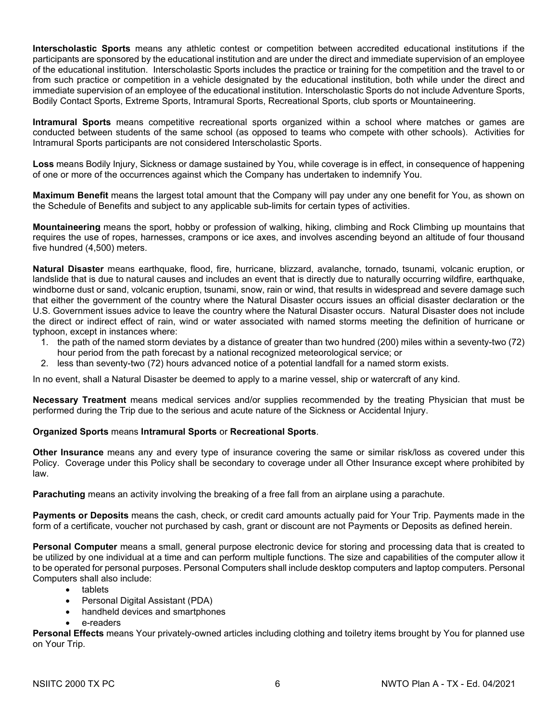**Interscholastic Sports** means any athletic contest or competition between accredited educational institutions if the participants are sponsored by the educational institution and are under the direct and immediate supervision of an employee of the educational institution. Interscholastic Sports includes the practice or training for the competition and the travel to or from such practice or competition in a vehicle designated by the educational institution, both while under the direct and immediate supervision of an employee of the educational institution. Interscholastic Sports do not include Adventure Sports, Bodily Contact Sports, Extreme Sports, Intramural Sports, Recreational Sports, club sports or Mountaineering.

**Intramural Sports** means competitive recreational sports organized within a school where matches or games are conducted between students of the same school (as opposed to teams who compete with other schools). Activities for Intramural Sports participants are not considered Interscholastic Sports.

**Loss** means Bodily Injury, Sickness or damage sustained by You, while coverage is in effect, in consequence of happening of one or more of the occurrences against which the Company has undertaken to indemnify You.

**Maximum Benefit** means the largest total amount that the Company will pay under any one benefit for You, as shown on the Schedule of Benefits and subject to any applicable sub-limits for certain types of activities.

**Mountaineering** means the sport, hobby or profession of walking, hiking, climbing and Rock Climbing up mountains that requires the use of ropes, harnesses, crampons or ice axes, and involves ascending beyond an altitude of four thousand five hundred (4,500) meters.

**Natural Disaster** means earthquake, flood, fire, hurricane, blizzard, avalanche, tornado, tsunami, volcanic eruption, or landslide that is due to natural causes and includes an event that is directly due to naturally occurring wildfire, earthquake, windborne dust or sand, volcanic eruption, tsunami, snow, rain or wind, that results in widespread and severe damage such that either the government of the country where the Natural Disaster occurs issues an official disaster declaration or the U.S. Government issues advice to leave the country where the Natural Disaster occurs. Natural Disaster does not include the direct or indirect effect of rain, wind or water associated with named storms meeting the definition of hurricane or typhoon, except in instances where:

- 1. the path of the named storm deviates by a distance of greater than two hundred (200) miles within a seventy-two (72) hour period from the path forecast by a national recognized meteorological service; or
- 2. less than seventy-two (72) hours advanced notice of a potential landfall for a named storm exists.

In no event, shall a Natural Disaster be deemed to apply to a marine vessel, ship or watercraft of any kind.

**Necessary Treatment** means medical services and/or supplies recommended by the treating Physician that must be performed during the Trip due to the serious and acute nature of the Sickness or Accidental Injury.

#### **Organized Sports** means **Intramural Sports** or **Recreational Sports**.

**Other Insurance** means any and every type of insurance covering the same or similar risk/loss as covered under this Policy. Coverage under this Policy shall be secondary to coverage under all Other Insurance except where prohibited by law.

**Parachuting** means an activity involving the breaking of a free fall from an airplane using a parachute.

**Payments or Deposits** means the cash, check, or credit card amounts actually paid for Your Trip. Payments made in the form of a certificate, voucher not purchased by cash, grant or discount are not Payments or Deposits as defined herein.

**Personal Computer** means a small, general purpose electronic device for storing and processing data that is created to be utilized by one individual at a time and can perform multiple functions. The size and capabilities of the computer allow it to be operated for personal purposes. Personal Computers shall include desktop computers and laptop computers. Personal Computers shall also include:

- tablets
- Personal Digital Assistant (PDA)
- handheld devices and smartphones
- e-readers

**Personal Effects** means Your privately-owned articles including clothing and toiletry items brought by You for planned use on Your Trip.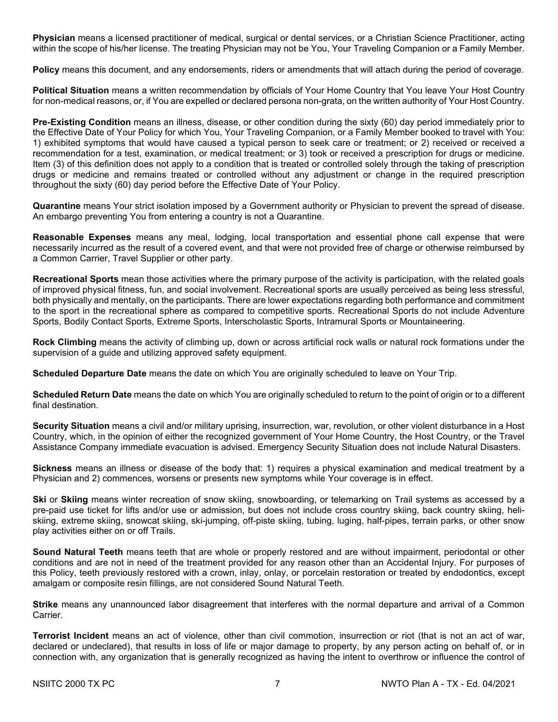**Physician** means a licensed practitioner of medical, surgical or dental services, or a Christian Science Practitioner, acting within the scope of his/her license. The treating Physician may not be You, Your Traveling Companion or a Family Member.

**Policy** means this document, and any endorsements, riders or amendments that will attach during the period of coverage.

**Political Situation** means a written recommendation by officials of Your Home Country that You leave Your Host Country for non-medical reasons, or, if You are expelled or declared persona non-grata, on the written authority of Your Host Country.

**Pre-Existing Condition** means an illness, disease, or other condition during the sixty (60) day period immediately prior to the Effective Date of Your Policy for which You, Your Traveling Companion, or a Family Member booked to travel with You: 1) exhibited symptoms that would have caused a typical person to seek care or treatment; or 2) received or received a recommendation for a test, examination, or medical treatment; or 3) took or received a prescription for drugs or medicine. Item (3) of this definition does not apply to a condition that is treated or controlled solely through the taking of prescription drugs or medicine and remains treated or controlled without any adjustment or change in the required prescription throughout the sixty (60) day period before the Effective Date of Your Policy.

**Quarantine** means Your strict isolation imposed by a Government authority or Physician to prevent the spread of disease. An embargo preventing You from entering a country is not a Quarantine.

**Reasonable Expenses** means any meal, lodging, local transportation and essential phone call expense that were necessarily incurred as the result of a covered event, and that were not provided free of charge or otherwise reimbursed by a Common Carrier, Travel Supplier or other party.

**Recreational Sports** mean those activities where the primary purpose of the activity is participation, with the related goals of improved physical fitness, fun, and social involvement. Recreational sports are usually perceived as being less stressful, both physically and mentally, on the participants. There are lower expectations regarding both performance and commitment to the sport in the recreational sphere as compared to competitive sports. Recreational Sports do not include Adventure Sports, Bodily Contact Sports, Extreme Sports, Interscholastic Sports, Intramural Sports or Mountaineering.

**Rock Climbing** means the activity of climbing up, down or across artificial rock walls or natural rock formations under the supervision of a guide and utilizing approved safety equipment.

**Scheduled Departure Date** means the date on which You are originally scheduled to leave on Your Trip.

**Scheduled Return Date** means the date on which You are originally scheduled to return to the point of origin or to a different final destination.

**Security Situation** means a civil and/or military uprising, insurrection, war, revolution, or other violent disturbance in a Host Country, which, in the opinion of either the recognized government of Your Home Country, the Host Country, or the Travel Assistance Company immediate evacuation is advised. Emergency Security Situation does not include Natural Disasters.

**Sickness** means an illness or disease of the body that: 1) requires a physical examination and medical treatment by a Physician and 2) commences, worsens or presents new symptoms while Your coverage is in effect.

**Ski** or **Skiing** means winter recreation of snow skiing, snowboarding, or telemarking on Trail systems as accessed by a pre-paid use ticket for lifts and/or use or admission, but does not include cross country skiing, back country skiing, heliskiing, extreme skiing, snowcat skiing, ski-jumping, off-piste skiing, tubing, luging, half-pipes, terrain parks, or other snow play activities either on or off Trails.

**Sound Natural Teeth** means teeth that are whole or properly restored and are without impairment, periodontal or other conditions and are not in need of the treatment provided for any reason other than an Accidental Injury. For purposes of this Policy, teeth previously restored with a crown, inlay, onlay, or porcelain restoration or treated by endodontics, except amalgam or composite resin fillings, are not considered Sound Natural Teeth.

**Strike** means any unannounced labor disagreement that interferes with the normal departure and arrival of a Common Carrier.

**Terrorist Incident** means an act of violence, other than civil commotion, insurrection or riot (that is not an act of war, declared or undeclared), that results in loss of life or major damage to property, by any person acting on behalf of, or in connection with, any organization that is generally recognized as having the intent to overthrow or influence the control of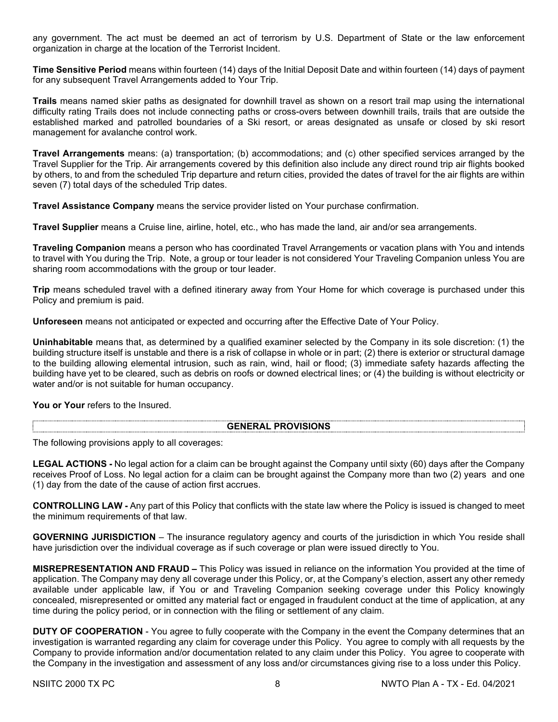any government. The act must be deemed an act of terrorism by U.S. Department of State or the law enforcement organization in charge at the location of the Terrorist Incident.

**Time Sensitive Period** means within fourteen (14) days of the Initial Deposit Date and within fourteen (14) days of payment for any subsequent Travel Arrangements added to Your Trip.

**Trails** means named skier paths as designated for downhill travel as shown on a resort trail map using the international difficulty rating Trails does not include connecting paths or cross-overs between downhill trails, trails that are outside the established marked and patrolled boundaries of a Ski resort, or areas designated as unsafe or closed by ski resort management for avalanche control work.

**Travel Arrangements** means: (a) transportation; (b) accommodations; and (c) other specified services arranged by the Travel Supplier for the Trip. Air arrangements covered by this definition also include any direct round trip air flights booked by others, to and from the scheduled Trip departure and return cities, provided the dates of travel for the air flights are within seven (7) total days of the scheduled Trip dates.

**Travel Assistance Company** means the service provider listed on Your purchase confirmation.

**Travel Supplier** means a Cruise line, airline, hotel, etc., who has made the land, air and/or sea arrangements.

**Traveling Companion** means a person who has coordinated Travel Arrangements or vacation plans with You and intends to travel with You during the Trip. Note, a group or tour leader is not considered Your Traveling Companion unless You are sharing room accommodations with the group or tour leader.

**Trip** means scheduled travel with a defined itinerary away from Your Home for which coverage is purchased under this Policy and premium is paid.

**Unforeseen** means not anticipated or expected and occurring after the Effective Date of Your Policy.

**Uninhabitable** means that, as determined by a qualified examiner selected by the Company in its sole discretion: (1) the building structure itself is unstable and there is a risk of collapse in whole or in part; (2) there is exterior or structural damage to the building allowing elemental intrusion, such as rain, wind, hail or flood; (3) immediate safety hazards affecting the building have yet to be cleared, such as debris on roofs or downed electrical lines; or (4) the building is without electricity or water and/or is not suitable for human occupancy.

**You or Your** refers to the Insured.

#### **GENERAL PROVISIONS**

The following provisions apply to all coverages:

**LEGAL ACTIONS -** No legal action for a claim can be brought against the Company until sixty (60) days after the Company receives Proof of Loss. No legal action for a claim can be brought against the Company more than two (2) years and one (1) day from the date of the cause of action first accrues.

**CONTROLLING LAW -** Any part of this Policy that conflicts with the state law where the Policy is issued is changed to meet the minimum requirements of that law.

**GOVERNING JURISDICTION** – The insurance regulatory agency and courts of the jurisdiction in which You reside shall have jurisdiction over the individual coverage as if such coverage or plan were issued directly to You.

**MISREPRESENTATION AND FRAUD –** This Policy was issued in reliance on the information You provided at the time of application. The Company may deny all coverage under this Policy, or, at the Company's election, assert any other remedy available under applicable law, if You or and Traveling Companion seeking coverage under this Policy knowingly concealed, misrepresented or omitted any material fact or engaged in fraudulent conduct at the time of application, at any time during the policy period, or in connection with the filing or settlement of any claim.

**DUTY OF COOPERATION** - You agree to fully cooperate with the Company in the event the Company determines that an investigation is warranted regarding any claim for coverage under this Policy. You agree to comply with all requests by the Company to provide information and/or documentation related to any claim under this Policy. You agree to cooperate with the Company in the investigation and assessment of any loss and/or circumstances giving rise to a loss under this Policy.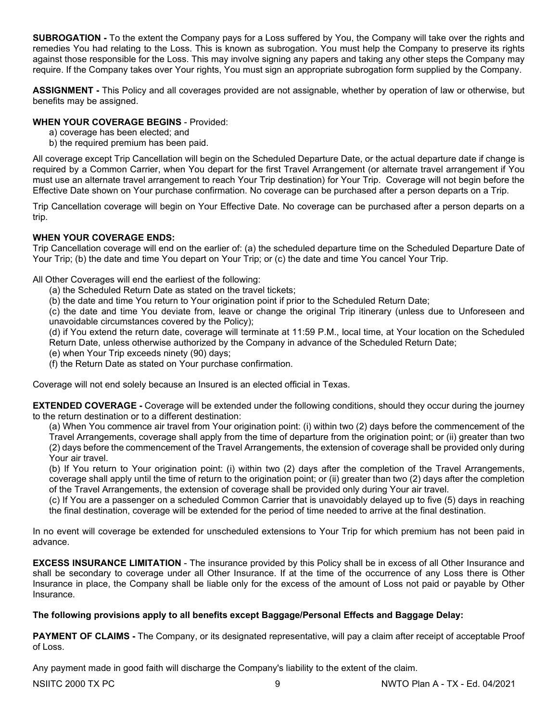**SUBROGATION -** To the extent the Company pays for a Loss suffered by You, the Company will take over the rights and remedies You had relating to the Loss. This is known as subrogation. You must help the Company to preserve its rights against those responsible for the Loss. This may involve signing any papers and taking any other steps the Company may require. If the Company takes over Your rights, You must sign an appropriate subrogation form supplied by the Company.

**ASSIGNMENT -** This Policy and all coverages provided are not assignable, whether by operation of law or otherwise, but benefits may be assigned.

#### **WHEN YOUR COVERAGE BEGINS** - Provided:

- a) coverage has been elected; and
- b) the required premium has been paid.

All coverage except Trip Cancellation will begin on the Scheduled Departure Date, or the actual departure date if change is required by a Common Carrier, when You depart for the first Travel Arrangement (or alternate travel arrangement if You must use an alternate travel arrangement to reach Your Trip destination) for Your Trip. Coverage will not begin before the Effective Date shown on Your purchase confirmation. No coverage can be purchased after a person departs on a Trip.

Trip Cancellation coverage will begin on Your Effective Date. No coverage can be purchased after a person departs on a trip.

### **WHEN YOUR COVERAGE ENDS:**

Trip Cancellation coverage will end on the earlier of: (a) the scheduled departure time on the Scheduled Departure Date of Your Trip; (b) the date and time You depart on Your Trip; or (c) the date and time You cancel Your Trip.

All Other Coverages will end the earliest of the following:

- (a) the Scheduled Return Date as stated on the travel tickets;
- (b) the date and time You return to Your origination point if prior to the Scheduled Return Date;

(c) the date and time You deviate from, leave or change the original Trip itinerary (unless due to Unforeseen and unavoidable circumstances covered by the Policy);

(d) if You extend the return date, coverage will terminate at 11:59 P.M., local time, at Your location on the Scheduled Return Date, unless otherwise authorized by the Company in advance of the Scheduled Return Date;

- (e) when Your Trip exceeds ninety (90) days;
- (f) the Return Date as stated on Your purchase confirmation.

Coverage will not end solely because an Insured is an elected official in Texas.

**EXTENDED COVERAGE -** Coverage will be extended under the following conditions, should they occur during the journey to the return destination or to a different destination:

(a) When You commence air travel from Your origination point: (i) within two (2) days before the commencement of the Travel Arrangements, coverage shall apply from the time of departure from the origination point; or (ii) greater than two (2) days before the commencement of the Travel Arrangements, the extension of coverage shall be provided only during Your air travel.

(b) If You return to Your origination point: (i) within two (2) days after the completion of the Travel Arrangements, coverage shall apply until the time of return to the origination point; or (ii) greater than two (2) days after the completion of the Travel Arrangements, the extension of coverage shall be provided only during Your air travel.

(c) If You are a passenger on a scheduled Common Carrier that is unavoidably delayed up to five (5) days in reaching the final destination, coverage will be extended for the period of time needed to arrive at the final destination.

In no event will coverage be extended for unscheduled extensions to Your Trip for which premium has not been paid in advance.

**EXCESS INSURANCE LIMITATION** - The insurance provided by this Policy shall be in excess of all Other Insurance and shall be secondary to coverage under all Other Insurance. If at the time of the occurrence of any Loss there is Other Insurance in place, the Company shall be liable only for the excess of the amount of Loss not paid or payable by Other Insurance.

#### **The following provisions apply to all benefits except Baggage/Personal Effects and Baggage Delay:**

**PAYMENT OF CLAIMS -** The Company, or its designated representative, will pay a claim after receipt of acceptable Proof of Loss.

Any payment made in good faith will discharge the Company's liability to the extent of the claim.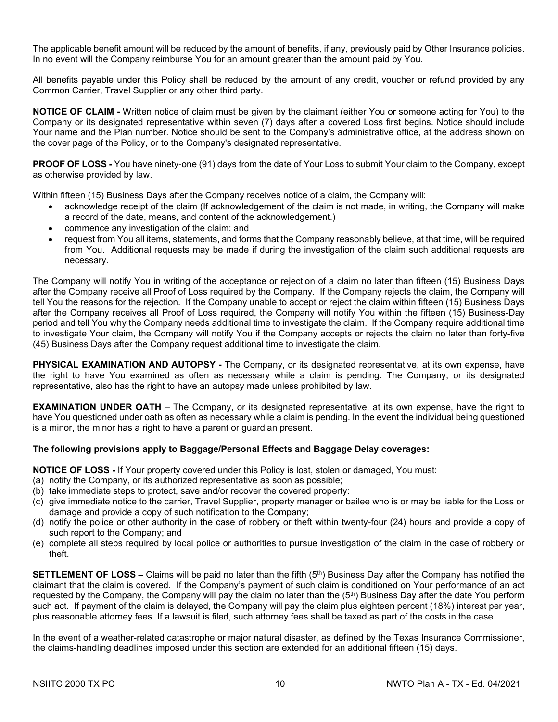The applicable benefit amount will be reduced by the amount of benefits, if any, previously paid by Other Insurance policies. In no event will the Company reimburse You for an amount greater than the amount paid by You.

All benefits payable under this Policy shall be reduced by the amount of any credit, voucher or refund provided by any Common Carrier, Travel Supplier or any other third party.

**NOTICE OF CLAIM -** Written notice of claim must be given by the claimant (either You or someone acting for You) to the Company or its designated representative within seven (7) days after a covered Loss first begins. Notice should include Your name and the Plan number. Notice should be sent to the Company's administrative office, at the address shown on the cover page of the Policy, or to the Company's designated representative.

**PROOF OF LOSS -** You have ninety-one (91) days from the date of Your Loss to submit Your claim to the Company, except as otherwise provided by law.

Within fifteen (15) Business Days after the Company receives notice of a claim, the Company will:

- acknowledge receipt of the claim (If acknowledgement of the claim is not made, in writing, the Company will make a record of the date, means, and content of the acknowledgement.)
- commence any investigation of the claim; and
- request from You all items, statements, and forms that the Company reasonably believe, at that time, will be required from You. Additional requests may be made if during the investigation of the claim such additional requests are necessary.

The Company will notify You in writing of the acceptance or rejection of a claim no later than fifteen (15) Business Days after the Company receive all Proof of Loss required by the Company. If the Company rejects the claim, the Company will tell You the reasons for the rejection. If the Company unable to accept or reject the claim within fifteen (15) Business Days after the Company receives all Proof of Loss required, the Company will notify You within the fifteen (15) Business-Day period and tell You why the Company needs additional time to investigate the claim. If the Company require additional time to investigate Your claim, the Company will notify You if the Company accepts or rejects the claim no later than forty-five (45) Business Days after the Company request additional time to investigate the claim.

**PHYSICAL EXAMINATION AND AUTOPSY -** The Company, or its designated representative, at its own expense, have the right to have You examined as often as necessary while a claim is pending. The Company, or its designated representative, also has the right to have an autopsy made unless prohibited by law.

**EXAMINATION UNDER OATH** – The Company, or its designated representative, at its own expense, have the right to have You questioned under oath as often as necessary while a claim is pending. In the event the individual being questioned is a minor, the minor has a right to have a parent or guardian present.

#### **The following provisions apply to Baggage/Personal Effects and Baggage Delay coverages:**

**NOTICE OF LOSS -** If Your property covered under this Policy is lost, stolen or damaged, You must:

- (a) notify the Company, or its authorized representative as soon as possible;
- (b) take immediate steps to protect, save and/or recover the covered property:
- (c) give immediate notice to the carrier, Travel Supplier, property manager or bailee who is or may be liable for the Loss or damage and provide a copy of such notification to the Company;
- (d) notify the police or other authority in the case of robbery or theft within twenty-four (24) hours and provide a copy of such report to the Company; and
- (e) complete all steps required by local police or authorities to pursue investigation of the claim in the case of robbery or theft.

**SETTLEMENT OF LOSS –** Claims will be paid no later than the fifth (5<sup>th</sup>) Business Day after the Company has notified the claimant that the claim is covered. If the Company's payment of such claim is conditioned on Your performance of an act requested by the Company, the Company will pay the claim no later than the  $(5<sup>th</sup>)$  Business Day after the date You perform such act. If payment of the claim is delayed, the Company will pay the claim plus eighteen percent (18%) interest per year, plus reasonable attorney fees. If a lawsuit is filed, such attorney fees shall be taxed as part of the costs in the case.

In the event of a weather-related catastrophe or major natural disaster, as defined by the Texas Insurance Commissioner, the claims-handling deadlines imposed under this section are extended for an additional fifteen (15) days.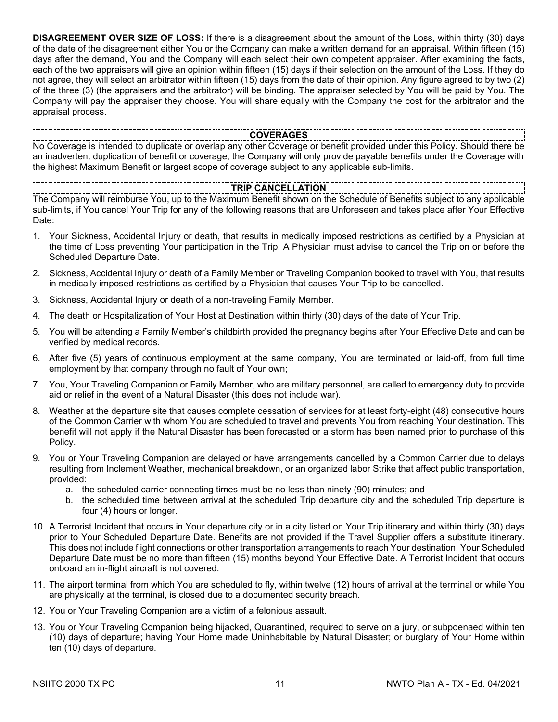**DISAGREEMENT OVER SIZE OF LOSS:** If there is a disagreement about the amount of the Loss, within thirty (30) days of the date of the disagreement either You or the Company can make a written demand for an appraisal. Within fifteen (15) days after the demand, You and the Company will each select their own competent appraiser. After examining the facts, each of the two appraisers will give an opinion within fifteen (15) days if their selection on the amount of the Loss. If they do not agree, they will select an arbitrator within fifteen (15) days from the date of their opinion. Any figure agreed to by two (2) of the three (3) (the appraisers and the arbitrator) will be binding. The appraiser selected by You will be paid by You. The Company will pay the appraiser they choose. You will share equally with the Company the cost for the arbitrator and the appraisal process.

#### **COVERAGES**

No Coverage is intended to duplicate or overlap any other Coverage or benefit provided under this Policy. Should there be an inadvertent duplication of benefit or coverage, the Company will only provide payable benefits under the Coverage with the highest Maximum Benefit or largest scope of coverage subject to any applicable sub-limits.

#### **TRIP CANCELLATION**

The Company will reimburse You, up to the Maximum Benefit shown on the Schedule of Benefits subject to any applicable sub-limits, if You cancel Your Trip for any of the following reasons that are Unforeseen and takes place after Your Effective Date:

- 1. Your Sickness, Accidental Injury or death, that results in medically imposed restrictions as certified by a Physician at the time of Loss preventing Your participation in the Trip. A Physician must advise to cancel the Trip on or before the Scheduled Departure Date.
- 2. Sickness, Accidental Injury or death of a Family Member or Traveling Companion booked to travel with You, that results in medically imposed restrictions as certified by a Physician that causes Your Trip to be cancelled.
- 3. Sickness, Accidental Injury or death of a non-traveling Family Member.
- 4. The death or Hospitalization of Your Host at Destination within thirty (30) days of the date of Your Trip.
- 5. You will be attending a Family Member's childbirth provided the pregnancy begins after Your Effective Date and can be verified by medical records.
- 6. After five (5) years of continuous employment at the same company, You are terminated or laid-off, from full time employment by that company through no fault of Your own;
- 7. You, Your Traveling Companion or Family Member, who are military personnel, are called to emergency duty to provide aid or relief in the event of a Natural Disaster (this does not include war).
- 8. Weather at the departure site that causes complete cessation of services for at least forty-eight (48) consecutive hours of the Common Carrier with whom You are scheduled to travel and prevents You from reaching Your destination. This benefit will not apply if the Natural Disaster has been forecasted or a storm has been named prior to purchase of this Policy.
- 9. You or Your Traveling Companion are delayed or have arrangements cancelled by a Common Carrier due to delays resulting from Inclement Weather, mechanical breakdown, or an organized labor Strike that affect public transportation, provided:
	- a. the scheduled carrier connecting times must be no less than ninety (90) minutes; and
	- b. the scheduled time between arrival at the scheduled Trip departure city and the scheduled Trip departure is four (4) hours or longer.
- 10. A Terrorist Incident that occurs in Your departure city or in a city listed on Your Trip itinerary and within thirty (30) days prior to Your Scheduled Departure Date. Benefits are not provided if the Travel Supplier offers a substitute itinerary. This does not include flight connections or other transportation arrangements to reach Your destination. Your Scheduled Departure Date must be no more than fifteen (15) months beyond Your Effective Date. A Terrorist Incident that occurs onboard an in-flight aircraft is not covered.
- 11. The airport terminal from which You are scheduled to fly, within twelve (12) hours of arrival at the terminal or while You are physically at the terminal, is closed due to a documented security breach.
- 12. You or Your Traveling Companion are a victim of a felonious assault.
- 13. You or Your Traveling Companion being hijacked, Quarantined, required to serve on a jury, or subpoenaed within ten (10) days of departure; having Your Home made Uninhabitable by Natural Disaster; or burglary of Your Home within ten (10) days of departure.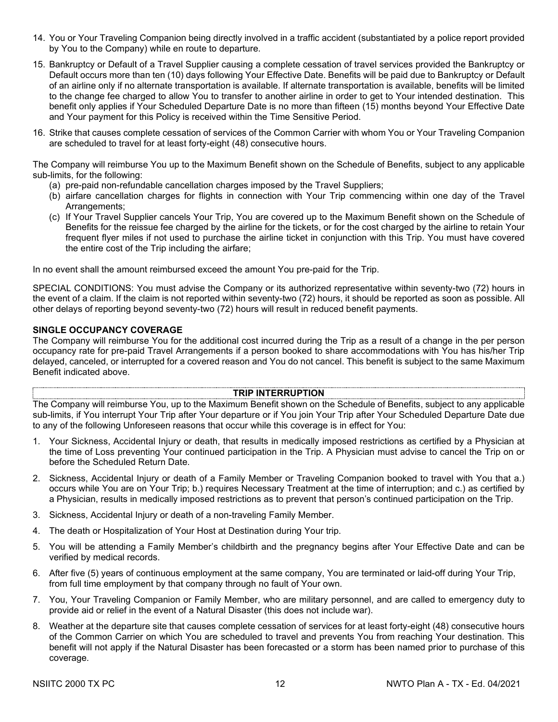- 14. You or Your Traveling Companion being directly involved in a traffic accident (substantiated by a police report provided by You to the Company) while en route to departure.
- 15. Bankruptcy or Default of a Travel Supplier causing a complete cessation of travel services provided the Bankruptcy or Default occurs more than ten (10) days following Your Effective Date. Benefits will be paid due to Bankruptcy or Default of an airline only if no alternate transportation is available. If alternate transportation is available, benefits will be limited to the change fee charged to allow You to transfer to another airline in order to get to Your intended destination. This benefit only applies if Your Scheduled Departure Date is no more than fifteen (15) months beyond Your Effective Date and Your payment for this Policy is received within the Time Sensitive Period.
- 16. Strike that causes complete cessation of services of the Common Carrier with whom You or Your Traveling Companion are scheduled to travel for at least forty-eight (48) consecutive hours.

The Company will reimburse You up to the Maximum Benefit shown on the Schedule of Benefits, subject to any applicable sub-limits, for the following:

- (a) pre-paid non-refundable cancellation charges imposed by the Travel Suppliers;
- (b) airfare cancellation charges for flights in connection with Your Trip commencing within one day of the Travel Arrangements;
- (c) If Your Travel Supplier cancels Your Trip, You are covered up to the Maximum Benefit shown on the Schedule of Benefits for the reissue fee charged by the airline for the tickets, or for the cost charged by the airline to retain Your frequent flyer miles if not used to purchase the airline ticket in conjunction with this Trip. You must have covered the entire cost of the Trip including the airfare;

In no event shall the amount reimbursed exceed the amount You pre-paid for the Trip.

SPECIAL CONDITIONS: You must advise the Company or its authorized representative within seventy-two (72) hours in the event of a claim. If the claim is not reported within seventy-two (72) hours, it should be reported as soon as possible. All other delays of reporting beyond seventy-two (72) hours will result in reduced benefit payments.

#### **SINGLE OCCUPANCY COVERAGE**

The Company will reimburse You for the additional cost incurred during the Trip as a result of a change in the per person occupancy rate for pre-paid Travel Arrangements if a person booked to share accommodations with You has his/her Trip delayed, canceled, or interrupted for a covered reason and You do not cancel. This benefit is subject to the same Maximum Benefit indicated above.

#### **TRIP INTERRUPTION**

The Company will reimburse You, up to the Maximum Benefit shown on the Schedule of Benefits, subject to any applicable sub-limits, if You interrupt Your Trip after Your departure or if You join Your Trip after Your Scheduled Departure Date due to any of the following Unforeseen reasons that occur while this coverage is in effect for You:

- 1. Your Sickness, Accidental Injury or death, that results in medically imposed restrictions as certified by a Physician at the time of Loss preventing Your continued participation in the Trip. A Physician must advise to cancel the Trip on or before the Scheduled Return Date.
- 2. Sickness, Accidental Injury or death of a Family Member or Traveling Companion booked to travel with You that a.) occurs while You are on Your Trip; b.) requires Necessary Treatment at the time of interruption; and c.) as certified by a Physician, results in medically imposed restrictions as to prevent that person's continued participation on the Trip.
- 3. Sickness, Accidental Injury or death of a non-traveling Family Member.
- 4. The death or Hospitalization of Your Host at Destination during Your trip.
- 5. You will be attending a Family Member's childbirth and the pregnancy begins after Your Effective Date and can be verified by medical records.
- 6. After five (5) years of continuous employment at the same company, You are terminated or laid-off during Your Trip, from full time employment by that company through no fault of Your own.
- 7. You, Your Traveling Companion or Family Member, who are military personnel, and are called to emergency duty to provide aid or relief in the event of a Natural Disaster (this does not include war).
- 8. Weather at the departure site that causes complete cessation of services for at least forty-eight (48) consecutive hours of the Common Carrier on which You are scheduled to travel and prevents You from reaching Your destination. This benefit will not apply if the Natural Disaster has been forecasted or a storm has been named prior to purchase of this coverage.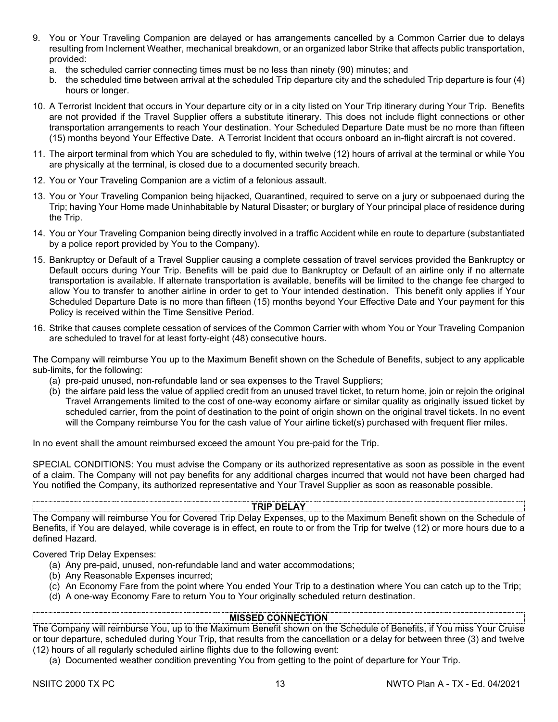- 9. You or Your Traveling Companion are delayed or has arrangements cancelled by a Common Carrier due to delays resulting from Inclement Weather, mechanical breakdown, or an organized labor Strike that affects public transportation, provided:
	- a. the scheduled carrier connecting times must be no less than ninety (90) minutes; and
	- b. the scheduled time between arrival at the scheduled Trip departure city and the scheduled Trip departure is four (4) hours or longer.
- 10. A Terrorist Incident that occurs in Your departure city or in a city listed on Your Trip itinerary during Your Trip. Benefits are not provided if the Travel Supplier offers a substitute itinerary. This does not include flight connections or other transportation arrangements to reach Your destination. Your Scheduled Departure Date must be no more than fifteen (15) months beyond Your Effective Date. A Terrorist Incident that occurs onboard an in-flight aircraft is not covered.
- 11. The airport terminal from which You are scheduled to fly, within twelve (12) hours of arrival at the terminal or while You are physically at the terminal, is closed due to a documented security breach.
- 12. You or Your Traveling Companion are a victim of a felonious assault.
- 13. You or Your Traveling Companion being hijacked, Quarantined, required to serve on a jury or subpoenaed during the Trip; having Your Home made Uninhabitable by Natural Disaster; or burglary of Your principal place of residence during the Trip.
- 14. You or Your Traveling Companion being directly involved in a traffic Accident while en route to departure (substantiated by a police report provided by You to the Company).
- 15. Bankruptcy or Default of a Travel Supplier causing a complete cessation of travel services provided the Bankruptcy or Default occurs during Your Trip. Benefits will be paid due to Bankruptcy or Default of an airline only if no alternate transportation is available. If alternate transportation is available, benefits will be limited to the change fee charged to allow You to transfer to another airline in order to get to Your intended destination. This benefit only applies if Your Scheduled Departure Date is no more than fifteen (15) months beyond Your Effective Date and Your payment for this Policy is received within the Time Sensitive Period.
- 16. Strike that causes complete cessation of services of the Common Carrier with whom You or Your Traveling Companion are scheduled to travel for at least forty-eight (48) consecutive hours.

The Company will reimburse You up to the Maximum Benefit shown on the Schedule of Benefits, subject to any applicable sub-limits, for the following:

- (a) pre-paid unused, non-refundable land or sea expenses to the Travel Suppliers;
- (b) the airfare paid less the value of applied credit from an unused travel ticket, to return home, join or rejoin the original Travel Arrangements limited to the cost of one-way economy airfare or similar quality as originally issued ticket by scheduled carrier, from the point of destination to the point of origin shown on the original travel tickets. In no event will the Company reimburse You for the cash value of Your airline ticket(s) purchased with frequent flier miles.

In no event shall the amount reimbursed exceed the amount You pre-paid for the Trip.

SPECIAL CONDITIONS: You must advise the Company or its authorized representative as soon as possible in the event of a claim. The Company will not pay benefits for any additional charges incurred that would not have been charged had You notified the Company, its authorized representative and Your Travel Supplier as soon as reasonable possible.

#### **TRIP DELAY**

The Company will reimburse You for Covered Trip Delay Expenses, up to the Maximum Benefit shown on the Schedule of Benefits, if You are delayed, while coverage is in effect, en route to or from the Trip for twelve (12) or more hours due to a defined Hazard.

Covered Trip Delay Expenses:

- (a) Any pre-paid, unused, non-refundable land and water accommodations;
- (b) Any Reasonable Expenses incurred;
- (c) An Economy Fare from the point where You ended Your Trip to a destination where You can catch up to the Trip;
- (d) A one-way Economy Fare to return You to Your originally scheduled return destination.

#### **MISSED CONNECTION**

The Company will reimburse You, up to the Maximum Benefit shown on the Schedule of Benefits, if You miss Your Cruise or tour departure, scheduled during Your Trip, that results from the cancellation or a delay for between three (3) and twelve (12) hours of all regularly scheduled airline flights due to the following event:

(a) Documented weather condition preventing You from getting to the point of departure for Your Trip.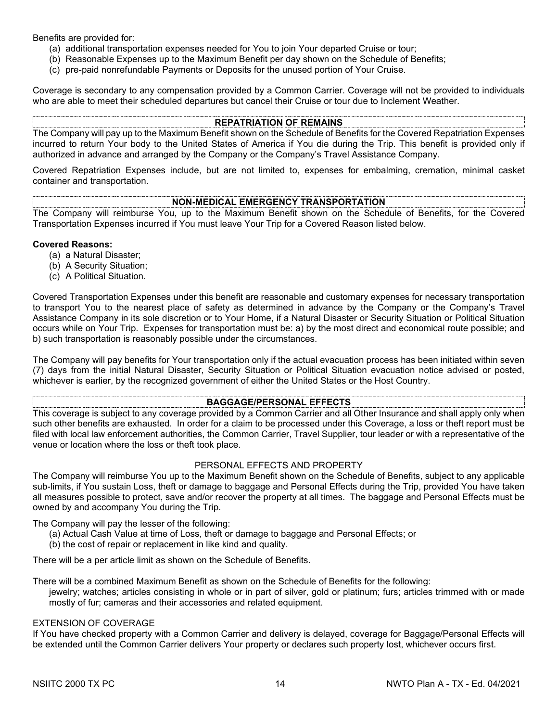Benefits are provided for:

- (a) additional transportation expenses needed for You to join Your departed Cruise or tour;
- (b) Reasonable Expenses up to the Maximum Benefit per day shown on the Schedule of Benefits;
- (c) pre-paid nonrefundable Payments or Deposits for the unused portion of Your Cruise.

Coverage is secondary to any compensation provided by a Common Carrier. Coverage will not be provided to individuals who are able to meet their scheduled departures but cancel their Cruise or tour due to Inclement Weather.

#### **REPATRIATION OF REMAINS**

The Company will pay up to the Maximum Benefit shown on the Schedule of Benefits for the Covered Repatriation Expenses incurred to return Your body to the United States of America if You die during the Trip. This benefit is provided only if authorized in advance and arranged by the Company or the Company's Travel Assistance Company.

Covered Repatriation Expenses include, but are not limited to, expenses for embalming, cremation, minimal casket container and transportation.

#### **NON-MEDICAL EMERGENCY TRANSPORTATION**

The Company will reimburse You, up to the Maximum Benefit shown on the Schedule of Benefits, for the Covered Transportation Expenses incurred if You must leave Your Trip for a Covered Reason listed below.

#### **Covered Reasons:**

- (a) a Natural Disaster;
- (b) A Security Situation;
- (c) A Political Situation.

Covered Transportation Expenses under this benefit are reasonable and customary expenses for necessary transportation to transport You to the nearest place of safety as determined in advance by the Company or the Company's Travel Assistance Company in its sole discretion or to Your Home, if a Natural Disaster or Security Situation or Political Situation occurs while on Your Trip. Expenses for transportation must be: a) by the most direct and economical route possible; and b) such transportation is reasonably possible under the circumstances.

The Company will pay benefits for Your transportation only if the actual evacuation process has been initiated within seven (7) days from the initial Natural Disaster, Security Situation or Political Situation evacuation notice advised or posted, whichever is earlier, by the recognized government of either the United States or the Host Country.

#### **BAGGAGE/PERSONAL EFFECTS**

This coverage is subject to any coverage provided by a Common Carrier and all Other Insurance and shall apply only when such other benefits are exhausted. In order for a claim to be processed under this Coverage, a loss or theft report must be filed with local law enforcement authorities, the Common Carrier, Travel Supplier, tour leader or with a representative of the venue or location where the loss or theft took place.

#### PERSONAL EFFECTS AND PROPERTY

The Company will reimburse You up to the Maximum Benefit shown on the Schedule of Benefits, subject to any applicable sub-limits, if You sustain Loss, theft or damage to baggage and Personal Effects during the Trip, provided You have taken all measures possible to protect, save and/or recover the property at all times. The baggage and Personal Effects must be owned by and accompany You during the Trip.

The Company will pay the lesser of the following:

- (a) Actual Cash Value at time of Loss, theft or damage to baggage and Personal Effects; or
- (b) the cost of repair or replacement in like kind and quality.

There will be a per article limit as shown on the Schedule of Benefits.

There will be a combined Maximum Benefit as shown on the Schedule of Benefits for the following:

jewelry; watches; articles consisting in whole or in part of silver, gold or platinum; furs; articles trimmed with or made mostly of fur; cameras and their accessories and related equipment.

#### EXTENSION OF COVERAGE

If You have checked property with a Common Carrier and delivery is delayed, coverage for Baggage/Personal Effects will be extended until the Common Carrier delivers Your property or declares such property lost, whichever occurs first.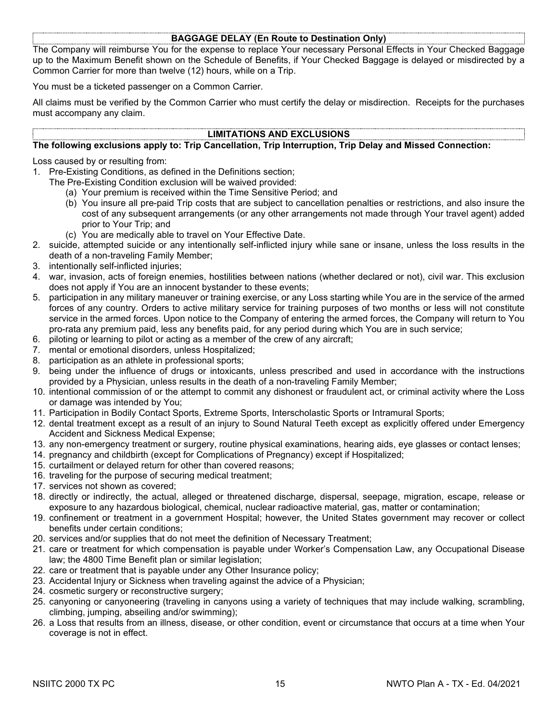#### **BAGGAGE DELAY (En Route to Destination Only)**

The Company will reimburse You for the expense to replace Your necessary Personal Effects in Your Checked Baggage up to the Maximum Benefit shown on the Schedule of Benefits, if Your Checked Baggage is delayed or misdirected by a Common Carrier for more than twelve (12) hours, while on a Trip.

You must be a ticketed passenger on a Common Carrier.

All claims must be verified by the Common Carrier who must certify the delay or misdirection. Receipts for the purchases must accompany any claim.

#### **LIMITATIONS AND EXCLUSIONS**

# **The following exclusions apply to: Trip Cancellation, Trip Interruption, Trip Delay and Missed Connection:**

Loss caused by or resulting from:

1. Pre-Existing Conditions, as defined in the Definitions section;

The Pre-Existing Condition exclusion will be waived provided:

- (a) Your premium is received within the Time Sensitive Period; and
- (b) You insure all pre-paid Trip costs that are subject to cancellation penalties or restrictions, and also insure the cost of any subsequent arrangements (or any other arrangements not made through Your travel agent) added prior to Your Trip; and
- (c) You are medically able to travel on Your Effective Date.
- 2. suicide, attempted suicide or any intentionally self-inflicted injury while sane or insane, unless the loss results in the death of a non-traveling Family Member;
- 3. intentionally self-inflicted injuries;
- 4. war, invasion, acts of foreign enemies, hostilities between nations (whether declared or not), civil war. This exclusion does not apply if You are an innocent bystander to these events;
- 5. participation in any military maneuver or training exercise, or any Loss starting while You are in the service of the armed forces of any country. Orders to active military service for training purposes of two months or less will not constitute service in the armed forces. Upon notice to the Company of entering the armed forces, the Company will return to You pro-rata any premium paid, less any benefits paid, for any period during which You are in such service;
- 6. piloting or learning to pilot or acting as a member of the crew of any aircraft;
- 7. mental or emotional disorders, unless Hospitalized;
- 8. participation as an athlete in professional sports;
- 9. being under the influence of drugs or intoxicants, unless prescribed and used in accordance with the instructions provided by a Physician, unless results in the death of a non-traveling Family Member;
- 10. intentional commission of or the attempt to commit any dishonest or fraudulent act, or criminal activity where the Loss or damage was intended by You;
- 11. Participation in Bodily Contact Sports, Extreme Sports, Interscholastic Sports or Intramural Sports;
- 12. dental treatment except as a result of an injury to Sound Natural Teeth except as explicitly offered under Emergency Accident and Sickness Medical Expense;
- 13. any non-emergency treatment or surgery, routine physical examinations, hearing aids, eye glasses or contact lenses;
- 14. pregnancy and childbirth (except for Complications of Pregnancy) except if Hospitalized;
- 15. curtailment or delayed return for other than covered reasons;
- 16. traveling for the purpose of securing medical treatment;
- 17. services not shown as covered;
- 18. directly or indirectly, the actual, alleged or threatened discharge, dispersal, seepage, migration, escape, release or exposure to any hazardous biological, chemical, nuclear radioactive material, gas, matter or contamination;
- 19. confinement or treatment in a government Hospital; however, the United States government may recover or collect benefits under certain conditions;
- 20. services and/or supplies that do not meet the definition of Necessary Treatment;
- 21. care or treatment for which compensation is payable under Worker's Compensation Law, any Occupational Disease law; the 4800 Time Benefit plan or similar legislation;
- 22. care or treatment that is payable under any Other Insurance policy;
- 23. Accidental Injury or Sickness when traveling against the advice of a Physician;
- 24. cosmetic surgery or reconstructive surgery;
- 25. canyoning or canyoneering (traveling in canyons using a variety of techniques that may include walking, scrambling, climbing, jumping, abseiling and/or swimming);
- 26. a Loss that results from an illness, disease, or other condition, event or circumstance that occurs at a time when Your coverage is not in effect.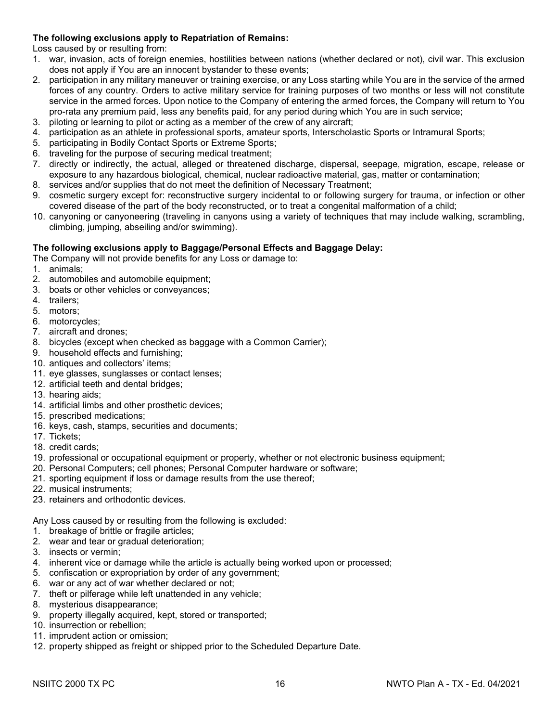#### **The following exclusions apply to Repatriation of Remains:**

Loss caused by or resulting from:

- 1. war, invasion, acts of foreign enemies, hostilities between nations (whether declared or not), civil war. This exclusion does not apply if You are an innocent bystander to these events;
- 2. participation in any military maneuver or training exercise, or any Loss starting while You are in the service of the armed forces of any country. Orders to active military service for training purposes of two months or less will not constitute service in the armed forces. Upon notice to the Company of entering the armed forces, the Company will return to You pro-rata any premium paid, less any benefits paid, for any period during which You are in such service;
- 3. piloting or learning to pilot or acting as a member of the crew of any aircraft;
- 4. participation as an athlete in professional sports, amateur sports, Interscholastic Sports or Intramural Sports;
- 5. participating in Bodily Contact Sports or Extreme Sports;
- 6. traveling for the purpose of securing medical treatment;
- 7. directly or indirectly, the actual, alleged or threatened discharge, dispersal, seepage, migration, escape, release or exposure to any hazardous biological, chemical, nuclear radioactive material, gas, matter or contamination;
- 8. services and/or supplies that do not meet the definition of Necessary Treatment;
- 9. cosmetic surgery except for: reconstructive surgery incidental to or following surgery for trauma, or infection or other covered disease of the part of the body reconstructed, or to treat a congenital malformation of a child;
- 10. canyoning or canyoneering (traveling in canyons using a variety of techniques that may include walking, scrambling, climbing, jumping, abseiling and/or swimming).

#### **The following exclusions apply to Baggage/Personal Effects and Baggage Delay:**

The Company will not provide benefits for any Loss or damage to:

- 1. animals;
- 2. automobiles and automobile equipment;
- 3. boats or other vehicles or conveyances;
- 4. trailers;
- 5. motors;
- 6. motorcycles;
- 7. aircraft and drones;
- 8. bicycles (except when checked as baggage with a Common Carrier);
- 9. household effects and furnishing;
- 10. antiques and collectors' items;
- 11. eye glasses, sunglasses or contact lenses;
- 12. artificial teeth and dental bridges;
- 13. hearing aids;
- 14. artificial limbs and other prosthetic devices;
- 15. prescribed medications;
- 16. keys, cash, stamps, securities and documents;
- 17. Tickets;
- 18. credit cards;
- 19. professional or occupational equipment or property, whether or not electronic business equipment;
- 20. Personal Computers; cell phones; Personal Computer hardware or software;
- 21. sporting equipment if loss or damage results from the use thereof;
- 22. musical instruments;
- 23. retainers and orthodontic devices.

Any Loss caused by or resulting from the following is excluded:

- 1. breakage of brittle or fragile articles;
- 2. wear and tear or gradual deterioration;
- 3. insects or vermin;
- 4. inherent vice or damage while the article is actually being worked upon or processed;
- 5. confiscation or expropriation by order of any government;
- 6. war or any act of war whether declared or not;
- 7. theft or pilferage while left unattended in any vehicle;
- 8. mysterious disappearance;
- 9. property illegally acquired, kept, stored or transported;
- 10. insurrection or rebellion;
- 11. imprudent action or omission;
- 12. property shipped as freight or shipped prior to the Scheduled Departure Date.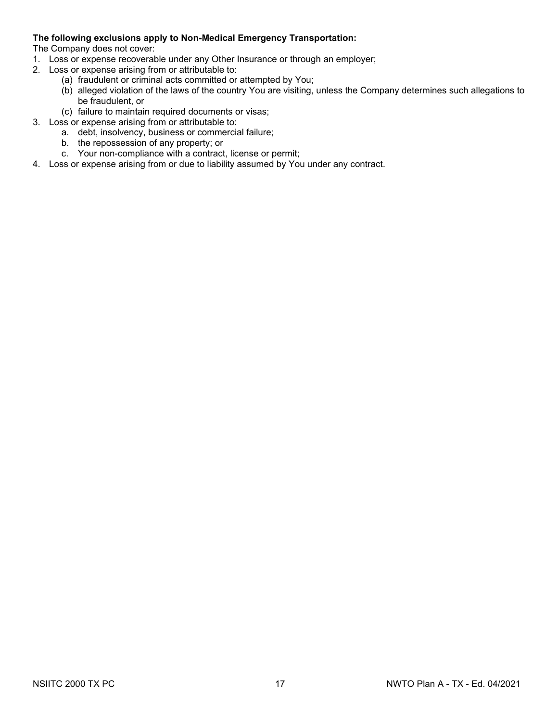#### **The following exclusions apply to Non-Medical Emergency Transportation:**

The Company does not cover:

- 1. Loss or expense recoverable under any Other Insurance or through an employer;
- 2. Loss or expense arising from or attributable to:
	- (a) fraudulent or criminal acts committed or attempted by You;
	- (b) alleged violation of the laws of the country You are visiting, unless the Company determines such allegations to be fraudulent, or
	- (c) failure to maintain required documents or visas;
- 3. Loss or expense arising from or attributable to:
	- a. debt, insolvency, business or commercial failure;
	- b. the repossession of any property; or
	- c. Your non-compliance with a contract, license or permit;
- 4. Loss or expense arising from or due to liability assumed by You under any contract.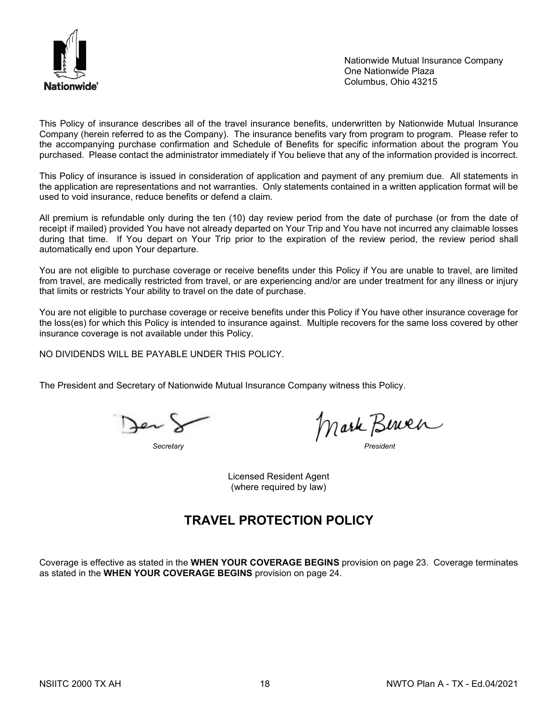

Nationwide Mutual Insurance Company One Nationwide Plaza Columbus, Ohio 43215

This Policy of insurance describes all of the travel insurance benefits, underwritten by Nationwide Mutual Insurance Company (herein referred to as the Company). The insurance benefits vary from program to program. Please refer to the accompanying purchase confirmation and Schedule of Benefits for specific information about the program You purchased. Please contact the administrator immediately if You believe that any of the information provided is incorrect.

This Policy of insurance is issued in consideration of application and payment of any premium due. All statements in the application are representations and not warranties. Only statements contained in a written application format will be used to void insurance, reduce benefits or defend a claim.

All premium is refundable only during the ten (10) day review period from the date of purchase (or from the date of receipt if mailed) provided You have not already departed on Your Trip and You have not incurred any claimable losses during that time. If You depart on Your Trip prior to the expiration of the review period, the review period shall automatically end upon Your departure.

You are not eligible to purchase coverage or receive benefits under this Policy if You are unable to travel, are limited from travel, are medically restricted from travel, or are experiencing and/or are under treatment for any illness or injury that limits or restricts Your ability to travel on the date of purchase.

You are not eligible to purchase coverage or receive benefits under this Policy if You have other insurance coverage for the loss(es) for which this Policy is intended to insurance against. Multiple recovers for the same loss covered by other insurance coverage is not available under this Policy.

NO DIVIDENDS WILL BE PAYABLE UNDER THIS POLICY.

The President and Secretary of Nationwide Mutual Insurance Company witness this Policy.

Jer )

*Secretary President*

Licensed Resident Agent (where required by law)

# **TRAVEL PROTECTION POLICY**

Coverage is effective as stated in the **WHEN YOUR COVERAGE BEGINS** provision on page 23. Coverage terminates as stated in the **WHEN YOUR COVERAGE BEGINS** provision on page 24.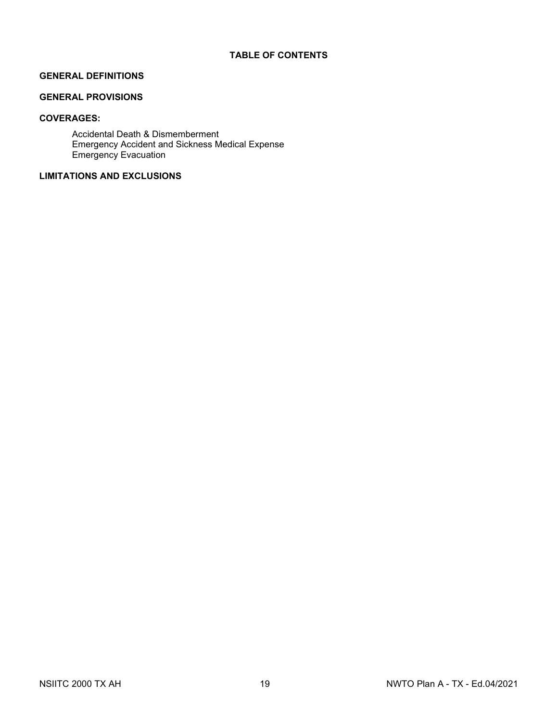## **GENERAL DEFINITIONS**

### **GENERAL PROVISIONS**

#### **COVERAGES:**

Accidental Death & Dismemberment Emergency Accident and Sickness Medical Expense Emergency Evacuation

#### **LIMITATIONS AND EXCLUSIONS**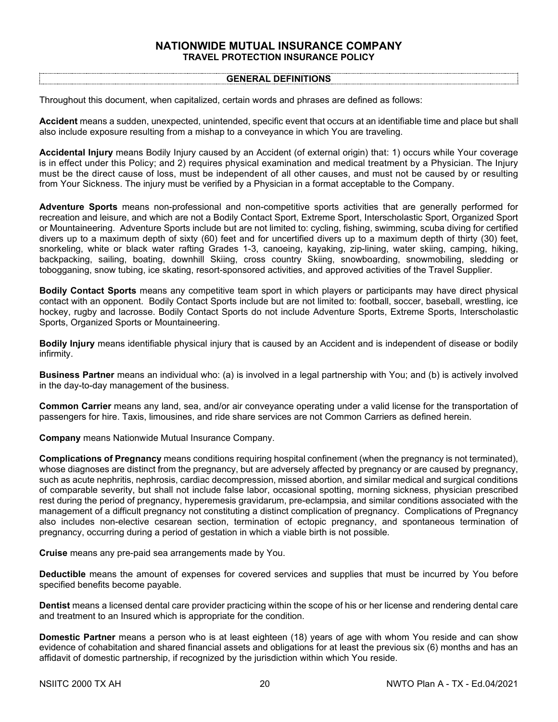#### **NATIONWIDE MUTUAL INSURANCE COMPANY TRAVEL PROTECTION INSURANCE POLICY**

#### **GENERAL DEFINITIONS**

Throughout this document, when capitalized, certain words and phrases are defined as follows:

**Accident** means a sudden, unexpected, unintended, specific event that occurs at an identifiable time and place but shall also include exposure resulting from a mishap to a conveyance in which You are traveling.

**Accidental Injury** means Bodily Injury caused by an Accident (of external origin) that: 1) occurs while Your coverage is in effect under this Policy; and 2) requires physical examination and medical treatment by a Physician. The Injury must be the direct cause of loss, must be independent of all other causes, and must not be caused by or resulting from Your Sickness. The injury must be verified by a Physician in a format acceptable to the Company.

**Adventure Sports** means non-professional and non-competitive sports activities that are generally performed for recreation and leisure, and which are not a Bodily Contact Sport, Extreme Sport, Interscholastic Sport, Organized Sport or Mountaineering. Adventure Sports include but are not limited to: cycling, fishing, swimming, scuba diving for certified divers up to a maximum depth of sixty (60) feet and for uncertified divers up to a maximum depth of thirty (30) feet, snorkeling, white or black water rafting Grades 1-3, canoeing, kayaking, zip-lining, water skiing, camping, hiking, backpacking, sailing, boating, downhill Skiing, cross country Skiing, snowboarding, snowmobiling, sledding or tobogganing, snow tubing, ice skating, resort-sponsored activities, and approved activities of the Travel Supplier.

**Bodily Contact Sports** means any competitive team sport in which players or participants may have direct physical contact with an opponent. Bodily Contact Sports include but are not limited to: football, soccer, baseball, wrestling, ice hockey, rugby and lacrosse. Bodily Contact Sports do not include Adventure Sports, Extreme Sports, Interscholastic Sports, Organized Sports or Mountaineering.

**Bodily Injury** means identifiable physical injury that is caused by an Accident and is independent of disease or bodily infirmity.

**Business Partner** means an individual who: (a) is involved in a legal partnership with You; and (b) is actively involved in the day-to-day management of the business.

**Common Carrier** means any land, sea, and/or air conveyance operating under a valid license for the transportation of passengers for hire. Taxis, limousines, and ride share services are not Common Carriers as defined herein.

**Company** means Nationwide Mutual Insurance Company.

**Complications of Pregnancy** means conditions requiring hospital confinement (when the pregnancy is not terminated), whose diagnoses are distinct from the pregnancy, but are adversely affected by pregnancy or are caused by pregnancy, such as acute nephritis, nephrosis, cardiac decompression, missed abortion, and similar medical and surgical conditions of comparable severity, but shall not include false labor, occasional spotting, morning sickness, physician prescribed rest during the period of pregnancy, hyperemesis gravidarum, pre-eclampsia, and similar conditions associated with the management of a difficult pregnancy not constituting a distinct complication of pregnancy. Complications of Pregnancy also includes non-elective cesarean section, termination of ectopic pregnancy, and spontaneous termination of pregnancy, occurring during a period of gestation in which a viable birth is not possible.

**Cruise** means any pre-paid sea arrangements made by You.

**Deductible** means the amount of expenses for covered services and supplies that must be incurred by You before specified benefits become payable.

**Dentist** means a licensed dental care provider practicing within the scope of his or her license and rendering dental care and treatment to an Insured which is appropriate for the condition.

**Domestic Partner** means a person who is at least eighteen (18) years of age with whom You reside and can show evidence of cohabitation and shared financial assets and obligations for at least the previous six (6) months and has an affidavit of domestic partnership, if recognized by the jurisdiction within which You reside.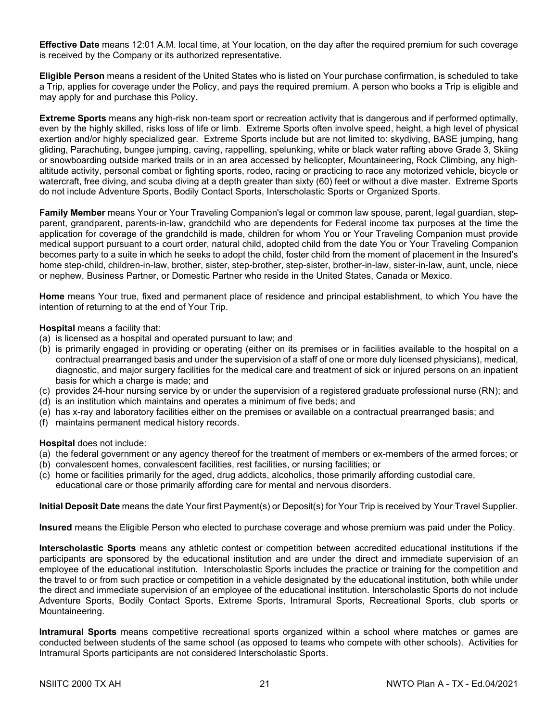**Effective Date** means 12:01 A.M. local time, at Your location, on the day after the required premium for such coverage is received by the Company or its authorized representative.

**Eligible Person** means a resident of the United States who is listed on Your purchase confirmation, is scheduled to take a Trip, applies for coverage under the Policy, and pays the required premium. A person who books a Trip is eligible and may apply for and purchase this Policy.

**Extreme Sports** means any high-risk non-team sport or recreation activity that is dangerous and if performed optimally, even by the highly skilled, risks loss of life or limb. Extreme Sports often involve speed, height, a high level of physical exertion and/or highly specialized gear. Extreme Sports include but are not limited to: skydiving, BASE jumping, hang gliding, Parachuting, bungee jumping, caving, rappelling, spelunking, white or black water rafting above Grade 3, Skiing or snowboarding outside marked trails or in an area accessed by helicopter, Mountaineering, Rock Climbing, any high‐ altitude activity, personal combat or fighting sports, rodeo, racing or practicing to race any motorized vehicle, bicycle or watercraft, free diving, and scuba diving at a depth greater than sixty (60) feet or without a dive master. Extreme Sports do not include Adventure Sports, Bodily Contact Sports, Interscholastic Sports or Organized Sports.

**Family Member** means Your or Your Traveling Companion's legal or common law spouse, parent, legal guardian, stepparent, grandparent, parents-in-law, grandchild who are dependents for Federal income tax purposes at the time the application for coverage of the grandchild is made, children for whom You or Your Traveling Companion must provide medical support pursuant to a court order, natural child, adopted child from the date You or Your Traveling Companion becomes party to a suite in which he seeks to adopt the child, foster child from the moment of placement in the Insured's home step-child, children-in-law, brother, sister, step-brother, step-sister, brother-in-law, sister-in-law, aunt, uncle, niece or nephew, Business Partner, or Domestic Partner who reside in the United States, Canada or Mexico.

**Home** means Your true, fixed and permanent place of residence and principal establishment, to which You have the intention of returning to at the end of Your Trip.

#### **Hospital** means a facility that:

- (a) is licensed as a hospital and operated pursuant to law; and
- (b) is primarily engaged in providing or operating (either on its premises or in facilities available to the hospital on a contractual prearranged basis and under the supervision of a staff of one or more duly licensed physicians), medical, diagnostic, and major surgery facilities for the medical care and treatment of sick or injured persons on an inpatient basis for which a charge is made; and
- (c) provides 24-hour nursing service by or under the supervision of a registered graduate professional nurse (RN); and
- (d) is an institution which maintains and operates a minimum of five beds; and
- (e) has x-ray and laboratory facilities either on the premises or available on a contractual prearranged basis; and
- (f) maintains permanent medical history records.

#### **Hospital** does not include:

- (a) the federal government or any agency thereof for the treatment of members or ex-members of the armed forces; or
- (b) convalescent homes, convalescent facilities, rest facilities, or nursing facilities; or
- (c) home or facilities primarily for the aged, drug addicts, alcoholics, those primarily affording custodial care,
- educational care or those primarily affording care for mental and nervous disorders.

**Initial Deposit Date** means the date Your first Payment(s) or Deposit(s) for Your Trip is received by Your Travel Supplier.

**Insured** means the Eligible Person who elected to purchase coverage and whose premium was paid under the Policy.

**Interscholastic Sports** means any athletic contest or competition between accredited educational institutions if the participants are sponsored by the educational institution and are under the direct and immediate supervision of an employee of the educational institution. Interscholastic Sports includes the practice or training for the competition and the travel to or from such practice or competition in a vehicle designated by the educational institution, both while under the direct and immediate supervision of an employee of the educational institution. Interscholastic Sports do not include Adventure Sports, Bodily Contact Sports, Extreme Sports, Intramural Sports, Recreational Sports, club sports or Mountaineering.

**Intramural Sports** means competitive recreational sports organized within a school where matches or games are conducted between students of the same school (as opposed to teams who compete with other schools). Activities for Intramural Sports participants are not considered Interscholastic Sports.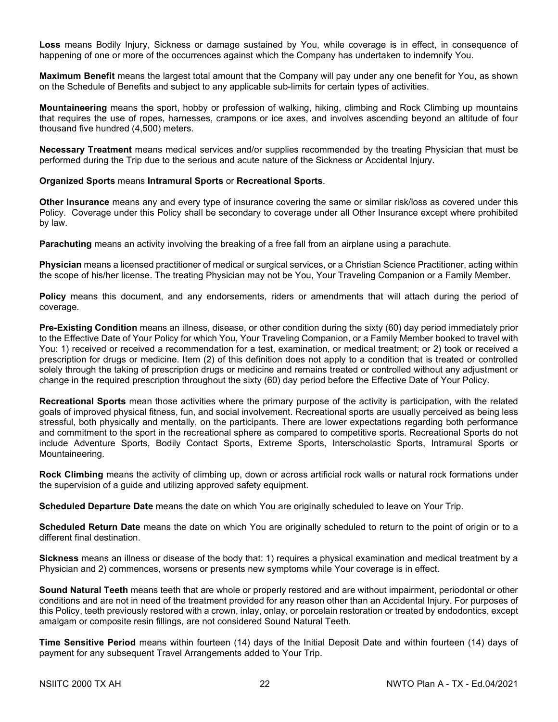**Loss** means Bodily Injury, Sickness or damage sustained by You, while coverage is in effect, in consequence of happening of one or more of the occurrences against which the Company has undertaken to indemnify You.

**Maximum Benefit** means the largest total amount that the Company will pay under any one benefit for You, as shown on the Schedule of Benefits and subject to any applicable sub-limits for certain types of activities.

**Mountaineering** means the sport, hobby or profession of walking, hiking, climbing and Rock Climbing up mountains that requires the use of ropes, harnesses, crampons or ice axes, and involves ascending beyond an altitude of four thousand five hundred (4,500) meters.

**Necessary Treatment** means medical services and/or supplies recommended by the treating Physician that must be performed during the Trip due to the serious and acute nature of the Sickness or Accidental Injury.

#### **Organized Sports** means **Intramural Sports** or **Recreational Sports**.

**Other Insurance** means any and every type of insurance covering the same or similar risk/loss as covered under this Policy. Coverage under this Policy shall be secondary to coverage under all Other Insurance except where prohibited by law.

**Parachuting** means an activity involving the breaking of a free fall from an airplane using a parachute.

**Physician** means a licensed practitioner of medical or surgical services, or a Christian Science Practitioner, acting within the scope of his/her license. The treating Physician may not be You, Your Traveling Companion or a Family Member.

**Policy** means this document, and any endorsements, riders or amendments that will attach during the period of coverage.

**Pre-Existing Condition** means an illness, disease, or other condition during the sixty (60) day period immediately prior to the Effective Date of Your Policy for which You, Your Traveling Companion, or a Family Member booked to travel with You: 1) received or received a recommendation for a test, examination, or medical treatment; or 2) took or received a prescription for drugs or medicine. Item (2) of this definition does not apply to a condition that is treated or controlled solely through the taking of prescription drugs or medicine and remains treated or controlled without any adjustment or change in the required prescription throughout the sixty (60) day period before the Effective Date of Your Policy.

**Recreational Sports** mean those activities where the primary purpose of the activity is participation, with the related goals of improved physical fitness, fun, and social involvement. Recreational sports are usually perceived as being less stressful, both physically and mentally, on the participants. There are lower expectations regarding both performance and commitment to the sport in the recreational sphere as compared to competitive sports. Recreational Sports do not include Adventure Sports, Bodily Contact Sports, Extreme Sports, Interscholastic Sports, Intramural Sports or Mountaineering.

**Rock Climbing** means the activity of climbing up, down or across artificial rock walls or natural rock formations under the supervision of a guide and utilizing approved safety equipment.

**Scheduled Departure Date** means the date on which You are originally scheduled to leave on Your Trip.

**Scheduled Return Date** means the date on which You are originally scheduled to return to the point of origin or to a different final destination.

**Sickness** means an illness or disease of the body that: 1) requires a physical examination and medical treatment by a Physician and 2) commences, worsens or presents new symptoms while Your coverage is in effect.

**Sound Natural Teeth** means teeth that are whole or properly restored and are without impairment, periodontal or other conditions and are not in need of the treatment provided for any reason other than an Accidental Injury. For purposes of this Policy, teeth previously restored with a crown, inlay, onlay, or porcelain restoration or treated by endodontics, except amalgam or composite resin fillings, are not considered Sound Natural Teeth.

**Time Sensitive Period** means within fourteen (14) days of the Initial Deposit Date and within fourteen (14) days of payment for any subsequent Travel Arrangements added to Your Trip.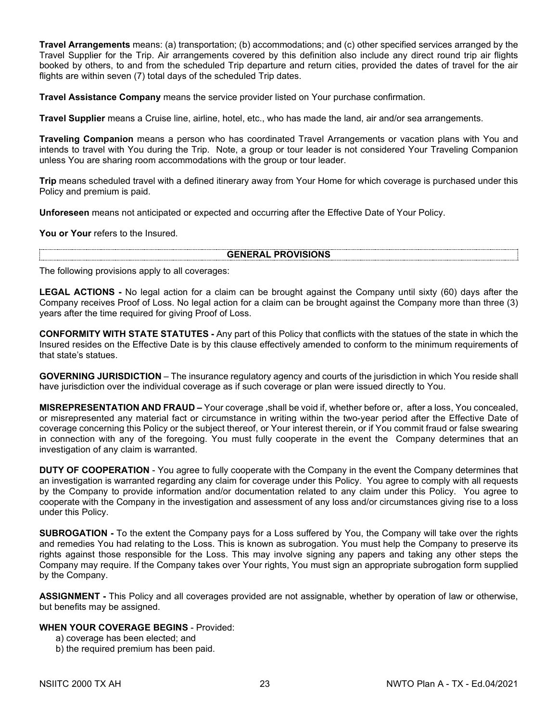**Travel Arrangements** means: (a) transportation; (b) accommodations; and (c) other specified services arranged by the Travel Supplier for the Trip. Air arrangements covered by this definition also include any direct round trip air flights booked by others, to and from the scheduled Trip departure and return cities, provided the dates of travel for the air flights are within seven (7) total days of the scheduled Trip dates.

**Travel Assistance Company** means the service provider listed on Your purchase confirmation.

**Travel Supplier** means a Cruise line, airline, hotel, etc., who has made the land, air and/or sea arrangements.

**Traveling Companion** means a person who has coordinated Travel Arrangements or vacation plans with You and intends to travel with You during the Trip. Note, a group or tour leader is not considered Your Traveling Companion unless You are sharing room accommodations with the group or tour leader.

**Trip** means scheduled travel with a defined itinerary away from Your Home for which coverage is purchased under this Policy and premium is paid.

**Unforeseen** means not anticipated or expected and occurring after the Effective Date of Your Policy.

**You or Your** refers to the Insured.

**GENERAL PROVISIONS**

The following provisions apply to all coverages:

**LEGAL ACTIONS -** No legal action for a claim can be brought against the Company until sixty (60) days after the Company receives Proof of Loss. No legal action for a claim can be brought against the Company more than three (3) years after the time required for giving Proof of Loss.

**CONFORMITY WITH STATE STATUTES -** Any part of this Policy that conflicts with the statues of the state in which the Insured resides on the Effective Date is by this clause effectively amended to conform to the minimum requirements of that state's statues.

**GOVERNING JURISDICTION** – The insurance regulatory agency and courts of the jurisdiction in which You reside shall have jurisdiction over the individual coverage as if such coverage or plan were issued directly to You.

**MISREPRESENTATION AND FRAUD –** Your coverage ,shall be void if, whether before or, after a loss, You concealed, or misrepresented any material fact or circumstance in writing within the two-year period after the Effective Date of coverage concerning this Policy or the subject thereof, or Your interest therein, or if You commit fraud or false swearing in connection with any of the foregoing. You must fully cooperate in the event the Company determines that an investigation of any claim is warranted.

**DUTY OF COOPERATION** - You agree to fully cooperate with the Company in the event the Company determines that an investigation is warranted regarding any claim for coverage under this Policy. You agree to comply with all requests by the Company to provide information and/or documentation related to any claim under this Policy. You agree to cooperate with the Company in the investigation and assessment of any loss and/or circumstances giving rise to a loss under this Policy.

**SUBROGATION -** To the extent the Company pays for a Loss suffered by You, the Company will take over the rights and remedies You had relating to the Loss. This is known as subrogation. You must help the Company to preserve its rights against those responsible for the Loss. This may involve signing any papers and taking any other steps the Company may require. If the Company takes over Your rights, You must sign an appropriate subrogation form supplied by the Company.

**ASSIGNMENT -** This Policy and all coverages provided are not assignable, whether by operation of law or otherwise, but benefits may be assigned.

#### **WHEN YOUR COVERAGE BEGINS** - Provided:

- a) coverage has been elected; and
- b) the required premium has been paid.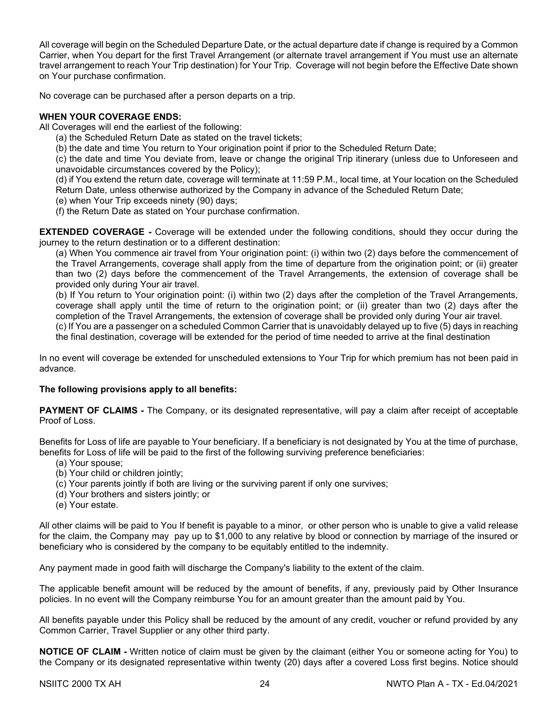All coverage will begin on the Scheduled Departure Date, or the actual departure date if change is required by a Common Carrier, when You depart for the first Travel Arrangement (or alternate travel arrangement if You must use an alternate travel arrangement to reach Your Trip destination) for Your Trip. Coverage will not begin before the Effective Date shown on Your purchase confirmation.

No coverage can be purchased after a person departs on a trip.

#### **WHEN YOUR COVERAGE ENDS:**

- All Coverages will end the earliest of the following:
	- (a) the Scheduled Return Date as stated on the travel tickets;
	- (b) the date and time You return to Your origination point if prior to the Scheduled Return Date;

(c) the date and time You deviate from, leave or change the original Trip itinerary (unless due to Unforeseen and unavoidable circumstances covered by the Policy);

(d) if You extend the return date, coverage will terminate at 11:59 P.M., local time, at Your location on the Scheduled Return Date, unless otherwise authorized by the Company in advance of the Scheduled Return Date;

- (e) when Your Trip exceeds ninety (90) days;
- (f) the Return Date as stated on Your purchase confirmation.

**EXTENDED COVERAGE -** Coverage will be extended under the following conditions, should they occur during the journey to the return destination or to a different destination:

(a) When You commence air travel from Your origination point: (i) within two (2) days before the commencement of the Travel Arrangements, coverage shall apply from the time of departure from the origination point; or (ii) greater than two (2) days before the commencement of the Travel Arrangements, the extension of coverage shall be provided only during Your air travel.

(b) If You return to Your origination point: (i) within two (2) days after the completion of the Travel Arrangements, coverage shall apply until the time of return to the origination point; or (ii) greater than two (2) days after the completion of the Travel Arrangements, the extension of coverage shall be provided only during Your air travel. (c) If You are a passenger on a scheduled Common Carrier that is unavoidably delayed up to five (5) days in reaching

the final destination, coverage will be extended for the period of time needed to arrive at the final destination

In no event will coverage be extended for unscheduled extensions to Your Trip for which premium has not been paid in advance.

#### **The following provisions apply to all benefits:**

**PAYMENT OF CLAIMS -** The Company, or its designated representative, will pay a claim after receipt of acceptable Proof of Loss.

Benefits for Loss of life are payable to Your beneficiary. If a beneficiary is not designated by You at the time of purchase, benefits for Loss of life will be paid to the first of the following surviving preference beneficiaries:

- (a) Your spouse;
- (b) Your child or children jointly;
- (c) Your parents jointly if both are living or the surviving parent if only one survives;
- (d) Your brothers and sisters jointly; or
- (e) Your estate.

All other claims will be paid to You If benefit is payable to a minor, or other person who is unable to give a valid release for the claim, the Company may pay up to \$1,000 to any relative by blood or connection by marriage of the insured or beneficiary who is considered by the company to be equitably entitled to the indemnity.

Any payment made in good faith will discharge the Company's liability to the extent of the claim.

The applicable benefit amount will be reduced by the amount of benefits, if any, previously paid by Other Insurance policies. In no event will the Company reimburse You for an amount greater than the amount paid by You.

All benefits payable under this Policy shall be reduced by the amount of any credit, voucher or refund provided by any Common Carrier, Travel Supplier or any other third party.

**NOTICE OF CLAIM -** Written notice of claim must be given by the claimant (either You or someone acting for You) to the Company or its designated representative within twenty (20) days after a covered Loss first begins. Notice should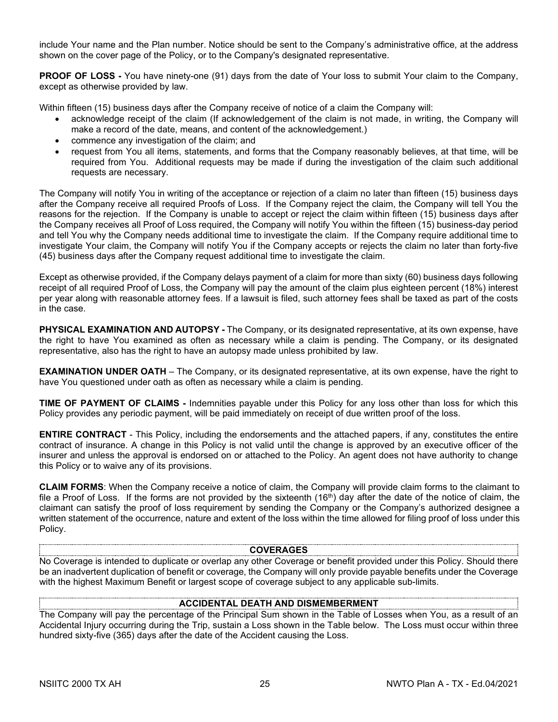include Your name and the Plan number. Notice should be sent to the Company's administrative office, at the address shown on the cover page of the Policy, or to the Company's designated representative.

**PROOF OF LOSS -** You have ninety-one (91) days from the date of Your loss to submit Your claim to the Company, except as otherwise provided by law.

Within fifteen (15) business days after the Company receive of notice of a claim the Company will:

- acknowledge receipt of the claim (If acknowledgement of the claim is not made, in writing, the Company will make a record of the date, means, and content of the acknowledgement.)
- commence any investigation of the claim; and
- request from You all items, statements, and forms that the Company reasonably believes, at that time, will be required from You. Additional requests may be made if during the investigation of the claim such additional requests are necessary.

The Company will notify You in writing of the acceptance or rejection of a claim no later than fifteen (15) business days after the Company receive all required Proofs of Loss. If the Company reject the claim, the Company will tell You the reasons for the rejection. If the Company is unable to accept or reject the claim within fifteen (15) business days after the Company receives all Proof of Loss required, the Company will notify You within the fifteen (15) business-day period and tell You why the Company needs additional time to investigate the claim. If the Company require additional time to investigate Your claim, the Company will notify You if the Company accepts or rejects the claim no later than forty-five (45) business days after the Company request additional time to investigate the claim.

Except as otherwise provided, if the Company delays payment of a claim for more than sixty (60) business days following receipt of all required Proof of Loss, the Company will pay the amount of the claim plus eighteen percent (18%) interest per year along with reasonable attorney fees. If a lawsuit is filed, such attorney fees shall be taxed as part of the costs in the case.

**PHYSICAL EXAMINATION AND AUTOPSY -** The Company, or its designated representative, at its own expense, have the right to have You examined as often as necessary while a claim is pending. The Company, or its designated representative, also has the right to have an autopsy made unless prohibited by law.

**EXAMINATION UNDER OATH** – The Company, or its designated representative, at its own expense, have the right to have You questioned under oath as often as necessary while a claim is pending.

**TIME OF PAYMENT OF CLAIMS -** Indemnities payable under this Policy for any loss other than loss for which this Policy provides any periodic payment, will be paid immediately on receipt of due written proof of the loss.

**ENTIRE CONTRACT** - This Policy, including the endorsements and the attached papers, if any, constitutes the entire contract of insurance. A change in this Policy is not valid until the change is approved by an executive officer of the insurer and unless the approval is endorsed on or attached to the Policy. An agent does not have authority to change this Policy or to waive any of its provisions.

**CLAIM FORMS**: When the Company receive a notice of claim, the Company will provide claim forms to the claimant to file a Proof of Loss. If the forms are not provided by the sixteenth (16<sup>th</sup>) day after the date of the notice of claim, the claimant can satisfy the proof of loss requirement by sending the Company or the Company's authorized designee a written statement of the occurrence, nature and extent of the loss within the time allowed for filing proof of loss under this Policy.

#### **COVERAGES**

No Coverage is intended to duplicate or overlap any other Coverage or benefit provided under this Policy. Should there be an inadvertent duplication of benefit or coverage, the Company will only provide payable benefits under the Coverage with the highest Maximum Benefit or largest scope of coverage subject to any applicable sub-limits.

#### **ACCIDENTAL DEATH AND DISMEMBERMENT**

The Company will pay the percentage of the Principal Sum shown in the Table of Losses when You, as a result of an Accidental Injury occurring during the Trip, sustain a Loss shown in the Table below. The Loss must occur within three hundred sixty-five (365) days after the date of the Accident causing the Loss.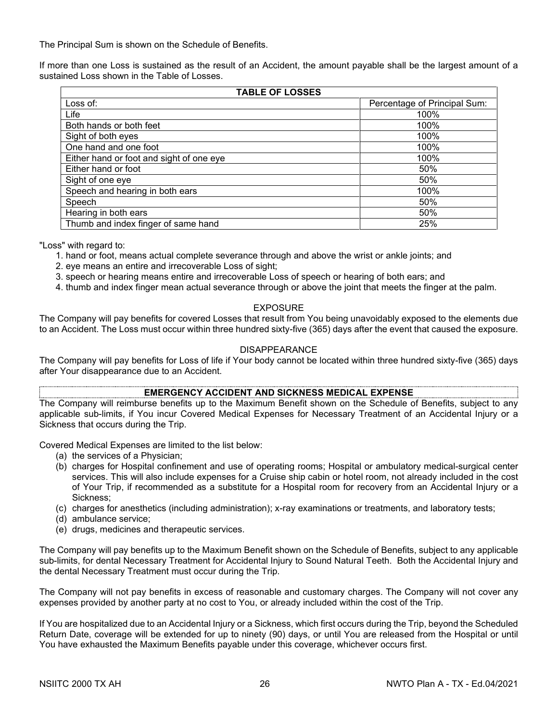The Principal Sum is shown on the Schedule of Benefits.

If more than one Loss is sustained as the result of an Accident, the amount payable shall be the largest amount of a sustained Loss shown in the Table of Losses.

| <b>TABLE OF LOSSES</b>                   |                              |  |  |
|------------------------------------------|------------------------------|--|--|
| Loss of:                                 | Percentage of Principal Sum: |  |  |
| Life                                     | 100%                         |  |  |
| Both hands or both feet                  | 100%                         |  |  |
| Sight of both eyes                       | 100%                         |  |  |
| One hand and one foot                    | 100%                         |  |  |
| Either hand or foot and sight of one eye | 100%                         |  |  |
| Either hand or foot                      | 50%                          |  |  |
| Sight of one eye                         | 50%                          |  |  |
| Speech and hearing in both ears          | 100%                         |  |  |
| Speech                                   | 50%                          |  |  |
| Hearing in both ears                     | 50%                          |  |  |
| Thumb and index finger of same hand      | 25%                          |  |  |

"Loss" with regard to:

- 1. hand or foot, means actual complete severance through and above the wrist or ankle joints; and
- 2. eye means an entire and irrecoverable Loss of sight;
- 3. speech or hearing means entire and irrecoverable Loss of speech or hearing of both ears; and
- 4. thumb and index finger mean actual severance through or above the joint that meets the finger at the palm.

#### EXPOSURE

The Company will pay benefits for covered Losses that result from You being unavoidably exposed to the elements due to an Accident. The Loss must occur within three hundred sixty-five (365) days after the event that caused the exposure.

#### DISAPPEARANCE

The Company will pay benefits for Loss of life if Your body cannot be located within three hundred sixty-five (365) days after Your disappearance due to an Accident.

## **EMERGENCY ACCIDENT AND SICKNESS MEDICAL EXPENSE**

The Company will reimburse benefits up to the Maximum Benefit shown on the Schedule of Benefits, subject to any applicable sub-limits, if You incur Covered Medical Expenses for Necessary Treatment of an Accidental Injury or a Sickness that occurs during the Trip.

Covered Medical Expenses are limited to the list below:

- (a) the services of a Physician;
- (b) charges for Hospital confinement and use of operating rooms; Hospital or ambulatory medical-surgical center services. This will also include expenses for a Cruise ship cabin or hotel room, not already included in the cost of Your Trip, if recommended as a substitute for a Hospital room for recovery from an Accidental Injury or a Sickness;
- (c) charges for anesthetics (including administration); x-ray examinations or treatments, and laboratory tests;
- (d) ambulance service;
- (e) drugs, medicines and therapeutic services.

The Company will pay benefits up to the Maximum Benefit shown on the Schedule of Benefits, subject to any applicable sub-limits, for dental Necessary Treatment for Accidental Injury to Sound Natural Teeth. Both the Accidental Injury and the dental Necessary Treatment must occur during the Trip.

The Company will not pay benefits in excess of reasonable and customary charges. The Company will not cover any expenses provided by another party at no cost to You, or already included within the cost of the Trip.

If You are hospitalized due to an Accidental Injury or a Sickness, which first occurs during the Trip, beyond the Scheduled Return Date, coverage will be extended for up to ninety (90) days, or until You are released from the Hospital or until You have exhausted the Maximum Benefits payable under this coverage, whichever occurs first.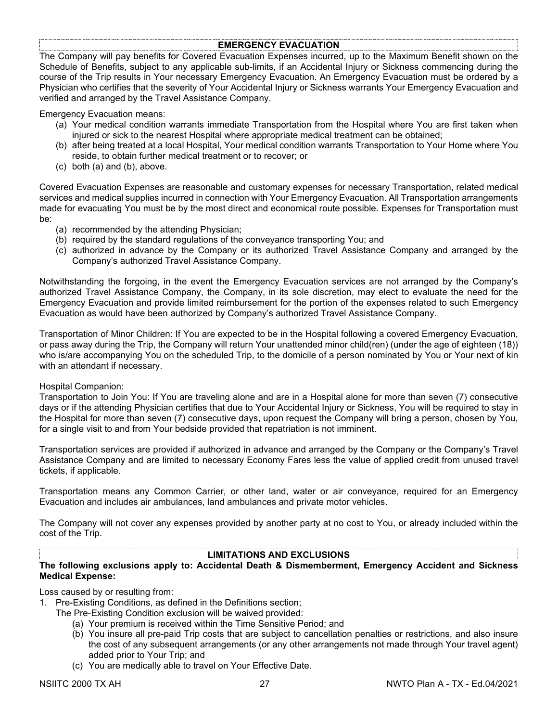#### **EMERGENCY EVACUATION**

The Company will pay benefits for Covered Evacuation Expenses incurred, up to the Maximum Benefit shown on the Schedule of Benefits, subject to any applicable sub-limits, if an Accidental Injury or Sickness commencing during the course of the Trip results in Your necessary Emergency Evacuation. An Emergency Evacuation must be ordered by a Physician who certifies that the severity of Your Accidental Injury or Sickness warrants Your Emergency Evacuation and verified and arranged by the Travel Assistance Company.

Emergency Evacuation means:

- (a) Your medical condition warrants immediate Transportation from the Hospital where You are first taken when injured or sick to the nearest Hospital where appropriate medical treatment can be obtained;
- (b) after being treated at a local Hospital, Your medical condition warrants Transportation to Your Home where You reside, to obtain further medical treatment or to recover; or
- (c) both (a) and (b), above.

Covered Evacuation Expenses are reasonable and customary expenses for necessary Transportation, related medical services and medical supplies incurred in connection with Your Emergency Evacuation. All Transportation arrangements made for evacuating You must be by the most direct and economical route possible. Expenses for Transportation must be:

- (a) recommended by the attending Physician;
- (b) required by the standard regulations of the conveyance transporting You; and
- (c) authorized in advance by the Company or its authorized Travel Assistance Company and arranged by the Company's authorized Travel Assistance Company.

Notwithstanding the forgoing, in the event the Emergency Evacuation services are not arranged by the Company's authorized Travel Assistance Company, the Company, in its sole discretion, may elect to evaluate the need for the Emergency Evacuation and provide limited reimbursement for the portion of the expenses related to such Emergency Evacuation as would have been authorized by Company's authorized Travel Assistance Company.

Transportation of Minor Children: If You are expected to be in the Hospital following a covered Emergency Evacuation, or pass away during the Trip, the Company will return Your unattended minor child(ren) (under the age of eighteen (18)) who is/are accompanying You on the scheduled Trip, to the domicile of a person nominated by You or Your next of kin with an attendant if necessary.

#### Hospital Companion:

Transportation to Join You: If You are traveling alone and are in a Hospital alone for more than seven (7) consecutive days or if the attending Physician certifies that due to Your Accidental Injury or Sickness, You will be required to stay in the Hospital for more than seven (7) consecutive days, upon request the Company will bring a person, chosen by You, for a single visit to and from Your bedside provided that repatriation is not imminent.

Transportation services are provided if authorized in advance and arranged by the Company or the Company's Travel Assistance Company and are limited to necessary Economy Fares less the value of applied credit from unused travel tickets, if applicable.

Transportation means any Common Carrier, or other land, water or air conveyance, required for an Emergency Evacuation and includes air ambulances, land ambulances and private motor vehicles.

The Company will not cover any expenses provided by another party at no cost to You, or already included within the cost of the Trip.

#### **LIMITATIONS AND EXCLUSIONS**

#### **The following exclusions apply to: Accidental Death & Dismemberment, Emergency Accident and Sickness Medical Expense:**

Loss caused by or resulting from:

1. Pre-Existing Conditions, as defined in the Definitions section;

- The Pre-Existing Condition exclusion will be waived provided:
	- (a) Your premium is received within the Time Sensitive Period; and
	- (b) You insure all pre-paid Trip costs that are subject to cancellation penalties or restrictions, and also insure the cost of any subsequent arrangements (or any other arrangements not made through Your travel agent) added prior to Your Trip; and
	- (c) You are medically able to travel on Your Effective Date.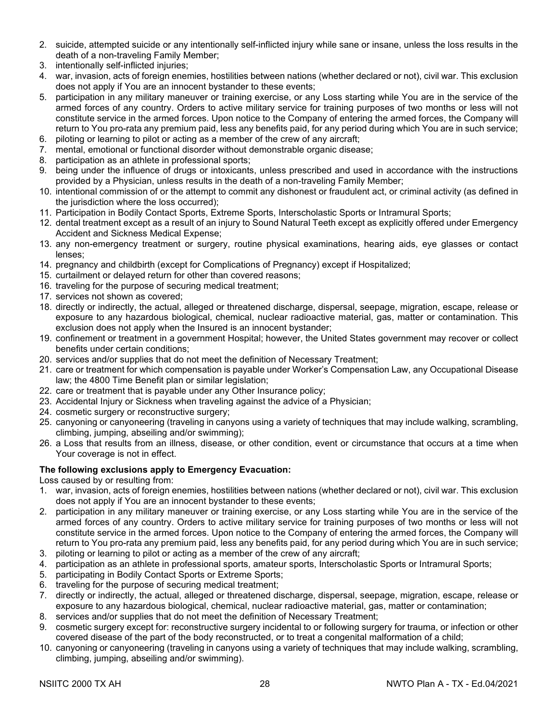- 2. suicide, attempted suicide or any intentionally self-inflicted injury while sane or insane, unless the loss results in the death of a non-traveling Family Member;
- 3. intentionally self-inflicted injuries;
- 4. war, invasion, acts of foreign enemies, hostilities between nations (whether declared or not), civil war. This exclusion does not apply if You are an innocent bystander to these events;
- 5. participation in any military maneuver or training exercise, or any Loss starting while You are in the service of the armed forces of any country. Orders to active military service for training purposes of two months or less will not constitute service in the armed forces. Upon notice to the Company of entering the armed forces, the Company will return to You pro-rata any premium paid, less any benefits paid, for any period during which You are in such service;
- 6. piloting or learning to pilot or acting as a member of the crew of any aircraft;
- 7. mental, emotional or functional disorder without demonstrable organic disease;
- 8. participation as an athlete in professional sports;
- 9. being under the influence of drugs or intoxicants, unless prescribed and used in accordance with the instructions provided by a Physician, unless results in the death of a non-traveling Family Member;
- 10. intentional commission of or the attempt to commit any dishonest or fraudulent act, or criminal activity (as defined in the jurisdiction where the loss occurred);
- 11. Participation in Bodily Contact Sports, Extreme Sports, Interscholastic Sports or Intramural Sports;
- 12. dental treatment except as a result of an injury to Sound Natural Teeth except as explicitly offered under Emergency Accident and Sickness Medical Expense;
- 13. any non-emergency treatment or surgery, routine physical examinations, hearing aids, eye glasses or contact lenses;
- 14. pregnancy and childbirth (except for Complications of Pregnancy) except if Hospitalized;
- 15. curtailment or delayed return for other than covered reasons;
- 16. traveling for the purpose of securing medical treatment;
- 17. services not shown as covered;
- 18. directly or indirectly, the actual, alleged or threatened discharge, dispersal, seepage, migration, escape, release or exposure to any hazardous biological, chemical, nuclear radioactive material, gas, matter or contamination. This exclusion does not apply when the Insured is an innocent bystander;
- 19. confinement or treatment in a government Hospital; however, the United States government may recover or collect benefits under certain conditions;
- 20. services and/or supplies that do not meet the definition of Necessary Treatment;
- 21. care or treatment for which compensation is payable under Worker's Compensation Law, any Occupational Disease law; the 4800 Time Benefit plan or similar legislation;
- 22. care or treatment that is payable under any Other Insurance policy;
- 23. Accidental Injury or Sickness when traveling against the advice of a Physician;
- 24. cosmetic surgery or reconstructive surgery;
- 25. canyoning or canyoneering (traveling in canyons using a variety of techniques that may include walking, scrambling, climbing, jumping, abseiling and/or swimming);
- 26. a Loss that results from an illness, disease, or other condition, event or circumstance that occurs at a time when Your coverage is not in effect.

#### **The following exclusions apply to Emergency Evacuation:**

Loss caused by or resulting from:

- 1. war, invasion, acts of foreign enemies, hostilities between nations (whether declared or not), civil war. This exclusion does not apply if You are an innocent bystander to these events;
- 2. participation in any military maneuver or training exercise, or any Loss starting while You are in the service of the armed forces of any country. Orders to active military service for training purposes of two months or less will not constitute service in the armed forces. Upon notice to the Company of entering the armed forces, the Company will return to You pro-rata any premium paid, less any benefits paid, for any period during which You are in such service;
- 3. piloting or learning to pilot or acting as a member of the crew of any aircraft;
- 4. participation as an athlete in professional sports, amateur sports, Interscholastic Sports or Intramural Sports;
- 5. participating in Bodily Contact Sports or Extreme Sports;
- 6. traveling for the purpose of securing medical treatment;
- 7. directly or indirectly, the actual, alleged or threatened discharge, dispersal, seepage, migration, escape, release or exposure to any hazardous biological, chemical, nuclear radioactive material, gas, matter or contamination;
- 8. services and/or supplies that do not meet the definition of Necessary Treatment;
- 9. cosmetic surgery except for: reconstructive surgery incidental to or following surgery for trauma, or infection or other covered disease of the part of the body reconstructed, or to treat a congenital malformation of a child;
- 10. canyoning or canyoneering (traveling in canyons using a variety of techniques that may include walking, scrambling, climbing, jumping, abseiling and/or swimming).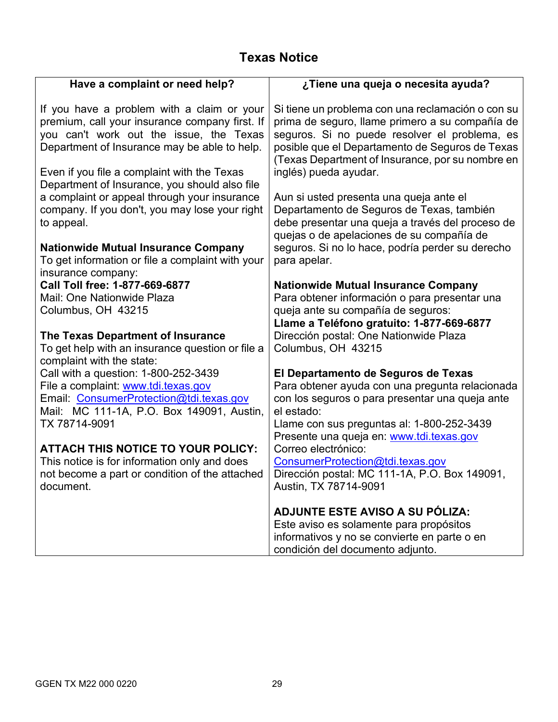# **Texas Notice**

| Have a complaint or need help?                                                                                                                                                          | ¿Tiene una queja o necesita ayuda?                                                                                                                                                                                                                           |
|-----------------------------------------------------------------------------------------------------------------------------------------------------------------------------------------|--------------------------------------------------------------------------------------------------------------------------------------------------------------------------------------------------------------------------------------------------------------|
| If you have a problem with a claim or your<br>premium, call your insurance company first. If<br>you can't work out the issue, the Texas<br>Department of Insurance may be able to help. | Si tiene un problema con una reclamación o con su<br>prima de seguro, llame primero a su compañía de<br>seguros. Si no puede resolver el problema, es<br>posible que el Departamento de Seguros de Texas<br>(Texas Department of Insurance, por su nombre en |
| Even if you file a complaint with the Texas<br>Department of Insurance, you should also file                                                                                            | inglés) pueda ayudar.                                                                                                                                                                                                                                        |
| a complaint or appeal through your insurance<br>company. If you don't, you may lose your right<br>to appeal.                                                                            | Aun si usted presenta una queja ante el<br>Departamento de Seguros de Texas, también<br>debe presentar una queja a través del proceso de<br>quejas o de apelaciones de su compañía de                                                                        |
| <b>Nationwide Mutual Insurance Company</b><br>To get information or file a complaint with your<br>insurance company:                                                                    | seguros. Si no lo hace, podría perder su derecho<br>para apelar.                                                                                                                                                                                             |
| Call Toll free: 1-877-669-6877                                                                                                                                                          | <b>Nationwide Mutual Insurance Company</b>                                                                                                                                                                                                                   |
| Mail: One Nationwide Plaza<br>Columbus, OH 43215                                                                                                                                        | Para obtener información o para presentar una<br>queja ante su compañía de seguros:<br>Llame a Teléfono gratuito: 1-877-669-6877                                                                                                                             |
| The Texas Department of Insurance<br>To get help with an insurance question or file a<br>complaint with the state:                                                                      | Dirección postal: One Nationwide Plaza<br>Columbus, OH 43215                                                                                                                                                                                                 |
| Call with a question: 1-800-252-3439<br>File a complaint: www.tdi.texas.gov<br>Email: ConsumerProtection@tdi.texas.gov<br>Mail: MC 111-1A, P.O. Box 149091, Austin,                     | El Departamento de Seguros de Texas<br>Para obtener ayuda con una pregunta relacionada<br>con los seguros o para presentar una queja ante<br>el estado:                                                                                                      |
| TX 78714-9091                                                                                                                                                                           | Llame con sus preguntas al: 1-800-252-3439<br>Presente una queja en: www.tdi.texas.gov                                                                                                                                                                       |
| <b>ATTACH THIS NOTICE TO YOUR POLICY:</b>                                                                                                                                               | Correo electrónico:                                                                                                                                                                                                                                          |
| This notice is for information only and does                                                                                                                                            | ConsumerProtection@tdi.texas.gov                                                                                                                                                                                                                             |
| not become a part or condition of the attached<br>document.                                                                                                                             | Dirección postal: MC 111-1A, P.O. Box 149091,<br>Austin, TX 78714-9091                                                                                                                                                                                       |
|                                                                                                                                                                                         | <b>ADJUNTE ESTE AVISO A SU PÓLIZA:</b>                                                                                                                                                                                                                       |
|                                                                                                                                                                                         | Este aviso es solamente para propósitos                                                                                                                                                                                                                      |
|                                                                                                                                                                                         | informativos y no se convierte en parte o en<br>condición del documento adjunto.                                                                                                                                                                             |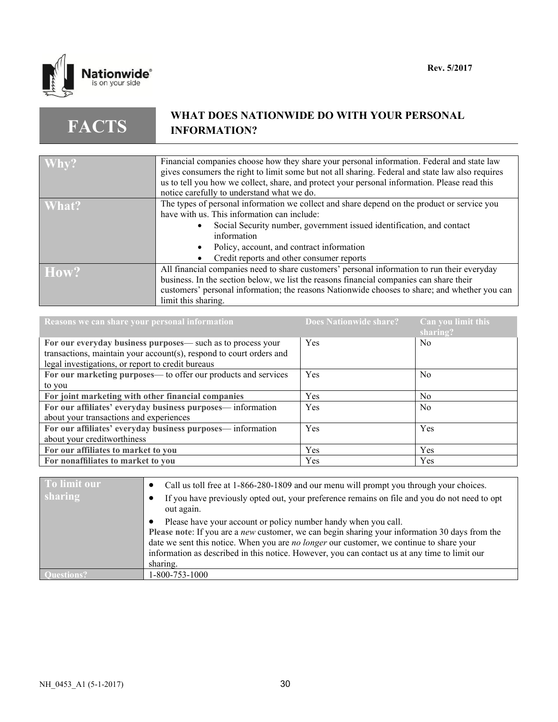

**FACTS**

# **WHAT DOES NATIONWIDE DO WITH YOUR PERSONAL INFORMATION?**

| Why?  | Financial companies choose how they share your personal information. Federal and state law       |
|-------|--------------------------------------------------------------------------------------------------|
|       | gives consumers the right to limit some but not all sharing. Federal and state law also requires |
|       |                                                                                                  |
|       | us to tell you how we collect, share, and protect your personal information. Please read this    |
|       | notice carefully to understand what we do.                                                       |
| What? | The types of personal information we collect and share depend on the product or service you      |
|       | have with us. This information can include:                                                      |
|       | Social Security number, government issued identification, and contact                            |
|       | information                                                                                      |
|       | Policy, account, and contract information                                                        |
|       | Credit reports and other consumer reports                                                        |
| How?  | All financial companies need to share customers' personal information to run their everyday      |
|       | business. In the section below, we list the reasons financial companies can share their          |
|       |                                                                                                  |
|       | customers' personal information; the reasons Nationwide chooses to share; and whether you can    |
|       | limit this sharing.                                                                              |

| Reasons we can share your personal information                      | Does Nationwide share? | Can you limit this<br>sharing? |
|---------------------------------------------------------------------|------------------------|--------------------------------|
| For our everyday business purposes— such as to process your         | Yes                    | N <sub>0</sub>                 |
| transactions, maintain your account(s), respond to court orders and |                        |                                |
| legal investigations, or report to credit bureaus                   |                        |                                |
| For our marketing purposes— to offer our products and services      | Yes                    | N <sub>0</sub>                 |
| to you                                                              |                        |                                |
| For joint marketing with other financial companies                  | <b>Yes</b>             | N <sub>0</sub>                 |
| For our affiliates' everyday business purposes— information         | Yes                    | N <sub>0</sub>                 |
| about your transactions and experiences                             |                        |                                |
| For our affiliates' everyday business purposes— information         | Yes                    | Yes                            |
| about your creditworthiness                                         |                        |                                |
| For our affiliates to market to you                                 | <b>Yes</b>             | Yes                            |
| For nonaffiliates to market to you                                  | Yes                    | Yes                            |

| To limit our | Call us toll free at 1-866-280-1809 and our menu will prompt you through your choices.                                                                                                                                                                                                                                                                                           |
|--------------|----------------------------------------------------------------------------------------------------------------------------------------------------------------------------------------------------------------------------------------------------------------------------------------------------------------------------------------------------------------------------------|
| sharing      | If you have previously opted out, your preference remains on file and you do not need to opt<br>out again.                                                                                                                                                                                                                                                                       |
|              | Please have your account or policy number handy when you call.<br>Please note: If you are a <i>new</i> customer, we can begin sharing your information 30 days from the<br>date we sent this notice. When you are no longer our customer, we continue to share your<br>information as described in this notice. However, you can contact us at any time to limit our<br>sharing. |
|              | 1-800-753-1000                                                                                                                                                                                                                                                                                                                                                                   |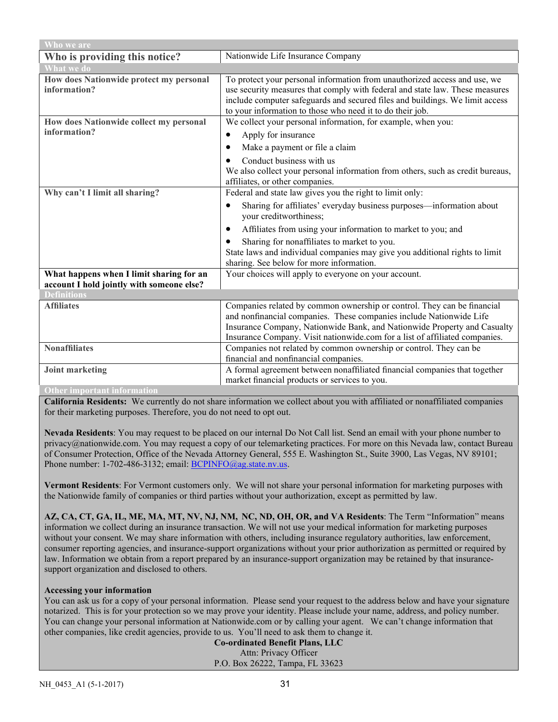| Who we are                                                                            |                                                                                                                                                                                                                                                                                                           |  |
|---------------------------------------------------------------------------------------|-----------------------------------------------------------------------------------------------------------------------------------------------------------------------------------------------------------------------------------------------------------------------------------------------------------|--|
| Who is providing this notice?                                                         | Nationwide Life Insurance Company                                                                                                                                                                                                                                                                         |  |
| <b>What we do</b>                                                                     |                                                                                                                                                                                                                                                                                                           |  |
| How does Nationwide protect my personal<br>information?                               | To protect your personal information from unauthorized access and use, we<br>use security measures that comply with federal and state law. These measures<br>include computer safeguards and secured files and buildings. We limit access<br>to your information to those who need it to do their job.    |  |
| How does Nationwide collect my personal                                               | We collect your personal information, for example, when you:                                                                                                                                                                                                                                              |  |
| information?                                                                          | Apply for insurance<br>$\bullet$                                                                                                                                                                                                                                                                          |  |
|                                                                                       | Make a payment or file a claim<br>٠                                                                                                                                                                                                                                                                       |  |
|                                                                                       | Conduct business with us<br>We also collect your personal information from others, such as credit bureaus,<br>affiliates, or other companies.                                                                                                                                                             |  |
| Why can't I limit all sharing?                                                        | Federal and state law gives you the right to limit only:                                                                                                                                                                                                                                                  |  |
|                                                                                       | Sharing for affiliates' everyday business purposes—information about<br>٠<br>your creditworthiness;                                                                                                                                                                                                       |  |
|                                                                                       | Affiliates from using your information to market to you; and<br>$\bullet$                                                                                                                                                                                                                                 |  |
|                                                                                       | Sharing for nonaffiliates to market to you.<br>$\bullet$                                                                                                                                                                                                                                                  |  |
|                                                                                       | State laws and individual companies may give you additional rights to limit<br>sharing. See below for more information.                                                                                                                                                                                   |  |
| What happens when I limit sharing for an<br>account I hold jointly with someone else? | Your choices will apply to everyone on your account.                                                                                                                                                                                                                                                      |  |
| <b>Definitions</b>                                                                    |                                                                                                                                                                                                                                                                                                           |  |
| <b>Affiliates</b>                                                                     | Companies related by common ownership or control. They can be financial<br>and nonfinancial companies. These companies include Nationwide Life<br>Insurance Company, Nationwide Bank, and Nationwide Property and Casualty<br>Insurance Company. Visit nationwide.com for a list of affiliated companies. |  |
| <b>Nonaffiliates</b>                                                                  | Companies not related by common ownership or control. They can be                                                                                                                                                                                                                                         |  |
|                                                                                       | financial and nonfinancial companies.                                                                                                                                                                                                                                                                     |  |
| <b>Joint marketing</b>                                                                | A formal agreement between nonaffiliated financial companies that together                                                                                                                                                                                                                                |  |
|                                                                                       | market financial products or services to you.                                                                                                                                                                                                                                                             |  |
| <b>Other important information</b>                                                    |                                                                                                                                                                                                                                                                                                           |  |

**California Residents:** We currently do not share information we collect about you with affiliated or nonaffiliated companies for their marketing purposes. Therefore, you do not need to opt out.

**Nevada Residents**: You may request to be placed on our internal Do Not Call list. Send an email with your phone number to privacy@nationwide.com. You may request a copy of our telemarketing practices. For more on this Nevada law, contact Bureau of Consumer Protection, Office of the Nevada Attorney General, 555 E. Washington St., Suite 3900, Las Vegas, NV 89101; Phone number: 1-702-486-3132; email[: BCPINFO@ag.state.nv.us.](mailto:BCPINFO@ag.state.nv.us)

**Vermont Residents**: For Vermont customers only. We will not share your personal information for marketing purposes with the Nationwide family of companies or third parties without your authorization, except as permitted by law.

**AZ, CA, CT, GA, IL, ME, MA, MT, NV, NJ, NM, NC, ND, OH, OR, and VA Residents**: The Term "Information" means information we collect during an insurance transaction. We will not use your medical information for marketing purposes without your consent. We may share information with others, including insurance regulatory authorities, law enforcement, consumer reporting agencies, and insurance-support organizations without your prior authorization as permitted or required by law. Information we obtain from a report prepared by an insurance-support organization may be retained by that insurancesupport organization and disclosed to others.

#### **Accessing your information**

You can ask us for a copy of your personal information. Please send your request to the address below and have your signature notarized. This is for your protection so we may prove your identity. Please include your name, address, and policy number. You can change your personal information at Nationwide.com or by calling your agent. We can't change information that other companies, like credit agencies, provide to us. You'll need to ask them to change it.

**Co-ordinated Benefit Plans, LLC** Attn: Privacy Officer P.O. Box 26222, Tampa, FL 33623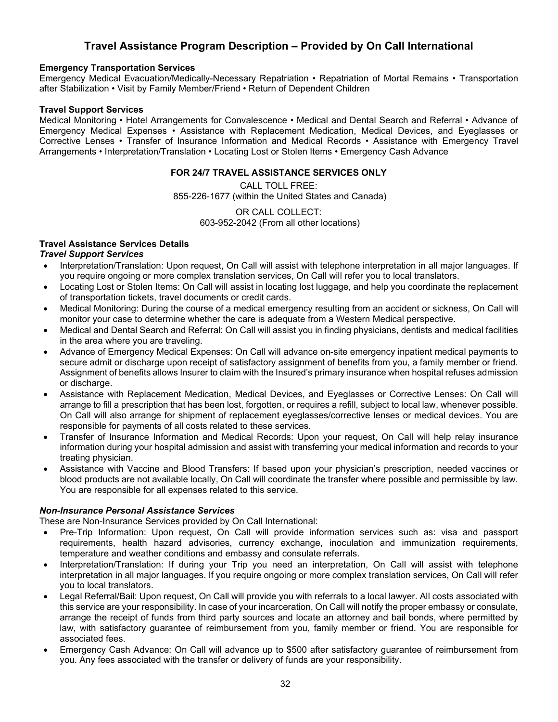# **Travel Assistance Program Description – Provided by On Call International**

#### **Emergency Transportation Services**

Emergency Medical Evacuation/Medically-Necessary Repatriation • Repatriation of Mortal Remains • Transportation after Stabilization • Visit by Family Member/Friend • Return of Dependent Children

#### **Travel Support Services**

Medical Monitoring • Hotel Arrangements for Convalescence • Medical and Dental Search and Referral • Advance of Emergency Medical Expenses • Assistance with Replacement Medication, Medical Devices, and Eyeglasses or Corrective Lenses • Transfer of Insurance Information and Medical Records • Assistance with Emergency Travel Arrangements • Interpretation/Translation • Locating Lost or Stolen Items • Emergency Cash Advance

#### **FOR 24/7 TRAVEL ASSISTANCE SERVICES ONLY**

CALL TOLL FREE: 855-226-1677 (within the United States and Canada)

> OR CALL COLLECT: 603-952-2042 (From all other locations)

# **Travel Assistance Services Details**

#### *Travel Support Services*

- Interpretation/Translation: Upon request, On Call will assist with telephone interpretation in all major languages. If you require ongoing or more complex translation services, On Call will refer you to local translators.
- Locating Lost or Stolen Items: On Call will assist in locating lost luggage, and help you coordinate the replacement of transportation tickets, travel documents or credit cards.
- Medical Monitoring: During the course of a medical emergency resulting from an accident or sickness, On Call will monitor your case to determine whether the care is adequate from a Western Medical perspective.
- Medical and Dental Search and Referral: On Call will assist you in finding physicians, dentists and medical facilities in the area where you are traveling.
- Advance of Emergency Medical Expenses: On Call will advance on-site emergency inpatient medical payments to secure admit or discharge upon receipt of satisfactory assignment of benefits from you, a family member or friend. Assignment of benefits allows Insurer to claim with the Insured's primary insurance when hospital refuses admission or discharge.
- Assistance with Replacement Medication, Medical Devices, and Eyeglasses or Corrective Lenses: On Call will arrange to fill a prescription that has been lost, forgotten, or requires a refill, subject to local law, whenever possible. On Call will also arrange for shipment of replacement eyeglasses/corrective lenses or medical devices. You are responsible for payments of all costs related to these services.
- Transfer of Insurance Information and Medical Records: Upon your request, On Call will help relay insurance information during your hospital admission and assist with transferring your medical information and records to your treating physician.
- Assistance with Vaccine and Blood Transfers: If based upon your physician's prescription, needed vaccines or blood products are not available locally, On Call will coordinate the transfer where possible and permissible by law. You are responsible for all expenses related to this service.

#### *Non-Insurance Personal Assistance Services*

These are Non-Insurance Services provided by On Call International:

- Pre-Trip Information: Upon request, On Call will provide information services such as: visa and passport requirements, health hazard advisories, currency exchange, inoculation and immunization requirements, temperature and weather conditions and embassy and consulate referrals.
- Interpretation/Translation: If during your Trip you need an interpretation, On Call will assist with telephone interpretation in all major languages. If you require ongoing or more complex translation services, On Call will refer you to local translators.
- Legal Referral/Bail: Upon request, On Call will provide you with referrals to a local lawyer. All costs associated with this service are your responsibility. In case of your incarceration, On Call will notify the proper embassy or consulate, arrange the receipt of funds from third party sources and locate an attorney and bail bonds, where permitted by law, with satisfactory guarantee of reimbursement from you, family member or friend. You are responsible for associated fees.
- Emergency Cash Advance: On Call will advance up to \$500 after satisfactory guarantee of reimbursement from you. Any fees associated with the transfer or delivery of funds are your responsibility.